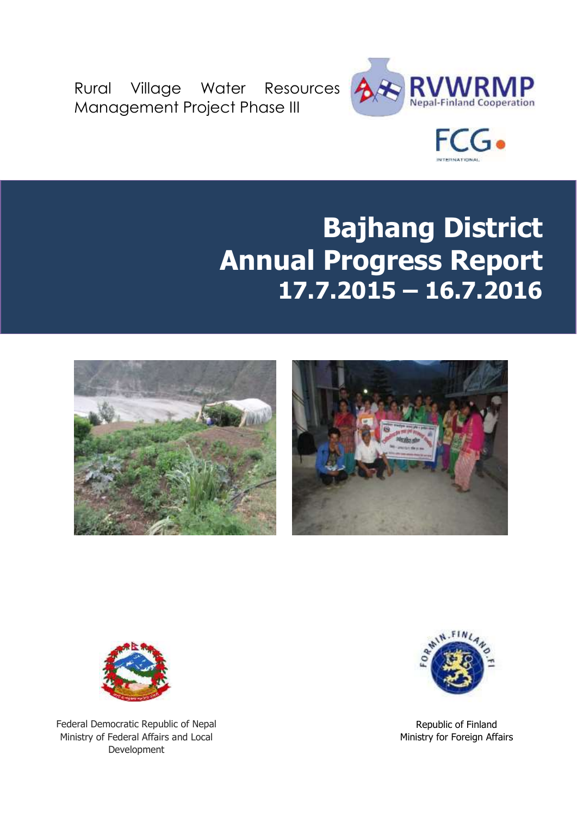Rural Village Water Resources Management Project Phase III





# **Bajhang District Annual Progress Report 17.7.2015 – 16.7.2016**







Federal Democratic Republic of Nepal Ministry of Federal Affairs and Local Development



Republic of Finland Ministry for Foreign Affairs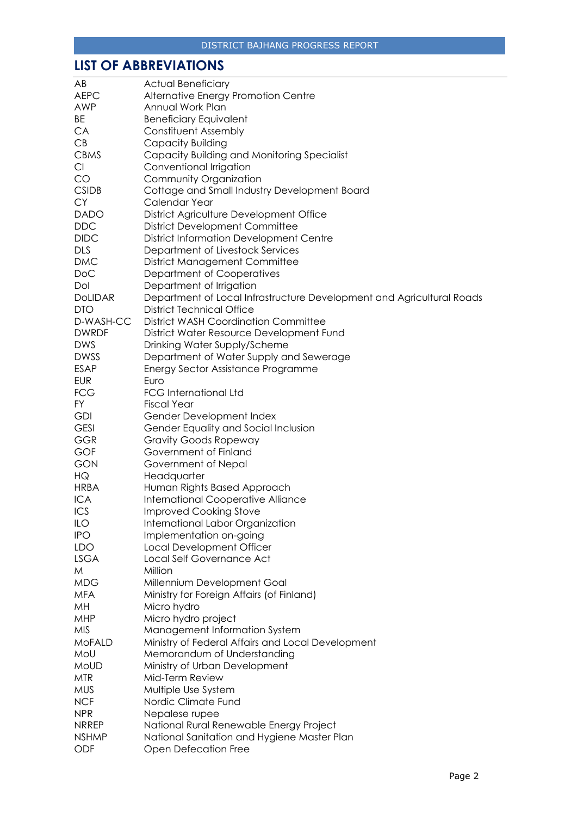# <span id="page-1-0"></span>**LIST OF ABBREVIATIONS**

| AB             | <b>Actual Beneficiary</b>                                             |
|----------------|-----------------------------------------------------------------------|
| <b>AEPC</b>    | Alternative Energy Promotion Centre                                   |
| <b>AWP</b>     | Annual Work Plan                                                      |
| BE             | <b>Beneficiary Equivalent</b>                                         |
| CA             | Constituent Assembly                                                  |
| CB             | Capacity Building                                                     |
| <b>CBMS</b>    | Capacity Building and Monitoring Specialist                           |
| Cl             | Conventional Irrigation                                               |
| CO             | Community Organization                                                |
| <b>CSIDB</b>   | Cottage and Small Industry Development Board                          |
| <b>CY</b>      | Calendar Year                                                         |
| <b>DADO</b>    |                                                                       |
|                | District Agriculture Development Office                               |
| <b>DDC</b>     | <b>District Development Committee</b>                                 |
| <b>DIDC</b>    | <b>District Information Development Centre</b>                        |
| <b>DLS</b>     | Department of Livestock Services                                      |
| <b>DMC</b>     | <b>District Management Committee</b>                                  |
| <b>DoC</b>     | Department of Cooperatives                                            |
| Dol            | Department of Irrigation                                              |
| <b>DOLIDAR</b> | Department of Local Infrastructure Development and Agricultural Roads |
| <b>DTO</b>     | <b>District Technical Office</b>                                      |
| D-WASH-CC      | <b>District WASH Coordination Committee</b>                           |
| <b>DWRDF</b>   | District Water Resource Development Fund                              |
| <b>DWS</b>     | Drinking Water Supply/Scheme                                          |
| <b>DWSS</b>    | Department of Water Supply and Sewerage                               |
| <b>ESAP</b>    | Energy Sector Assistance Programme                                    |
| <b>EUR</b>     | Euro                                                                  |
| <b>FCG</b>     | <b>FCG International Ltd</b>                                          |
| <b>FY</b>      | <b>Fiscal Year</b>                                                    |
| <b>GDI</b>     | Gender Development Index                                              |
| <b>GESI</b>    | Gender Equality and Social Inclusion                                  |
| <b>GGR</b>     | <b>Gravity Goods Ropeway</b>                                          |
| GOF            | Government of Finland                                                 |
| <b>GON</b>     | Government of Nepal                                                   |
| HQ             | Headquarter                                                           |
| <b>HRBA</b>    | Human Rights Based Approach                                           |
| <b>ICA</b>     | <b>International Cooperative Alliance</b>                             |
| ICS            | <b>Improved Cooking Stove</b>                                         |
| ILO            | International Labor Organization                                      |
| <b>IPO</b>     | Implementation on-going                                               |
| <b>LDO</b>     | Local Development Officer                                             |
| <b>LSGA</b>    | Local Self Governance Act                                             |
| M              | Million                                                               |
| <b>MDG</b>     | Millennium Development Goal                                           |
| <b>MFA</b>     | Ministry for Foreign Affairs (of Finland)                             |
| MH             | Micro hydro                                                           |
| MHP            | Micro hydro project                                                   |
| <b>MIS</b>     | Management Information System                                         |
| <b>MoFALD</b>  | Ministry of Federal Affairs and Local Development                     |
| MoU            | Memorandum of Understanding                                           |
| <b>MoUD</b>    | Ministry of Urban Development                                         |
| <b>MTR</b>     | Mid-Term Review                                                       |
| <b>MUS</b>     |                                                                       |
| <b>NCF</b>     | Multiple Use System<br>Nordic Climate Fund                            |
|                |                                                                       |
| <b>NPR</b>     | Nepalese rupee                                                        |
| <b>NRREP</b>   | National Rural Renewable Energy Project                               |
| <b>NSHMP</b>   | National Sanitation and Hygiene Master Plan                           |
| ODF            | <b>Open Defecation Free</b>                                           |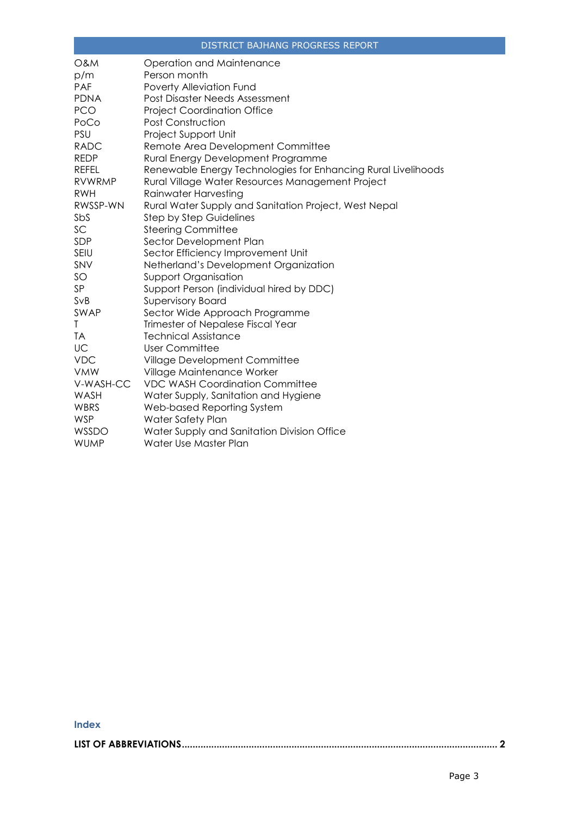| <b>O&amp;M</b> | Operation and Maintenance                                     |
|----------------|---------------------------------------------------------------|
| p/m            | Person month                                                  |
| PAF            | Poverty Alleviation Fund                                      |
| <b>PDNA</b>    | Post Disaster Needs Assessment                                |
| <b>PCO</b>     | <b>Project Coordination Office</b>                            |
| PoCo           | Post Construction                                             |
| PSU            | Project Support Unit                                          |
| <b>RADC</b>    | Remote Area Development Committee                             |
| <b>REDP</b>    | Rural Energy Development Programme                            |
| REFEL          | Renewable Energy Technologies for Enhancing Rural Livelihoods |
| <b>RVWRMP</b>  | Rural Village Water Resources Management Project              |
| <b>RWH</b>     | Rainwater Harvesting                                          |
| RWSSP-WN       | Rural Water Supply and Sanitation Project, West Nepal         |
| SbS            | <b>Step by Step Guidelines</b>                                |
| SC             | <b>Steering Committee</b>                                     |
| SDP            | Sector Development Plan                                       |
| <b>SEIU</b>    | Sector Efficiency Improvement Unit                            |
| SNV            | Netherland's Development Organization                         |
| SO             | <b>Support Organisation</b>                                   |
| SP             | Support Person (individual hired by DDC)                      |
| SvB            | <b>Supervisory Board</b>                                      |
| SWAP           | Sector Wide Approach Programme                                |
| Τ              | Trimester of Nepalese Fiscal Year                             |
| <b>TA</b>      | <b>Technical Assistance</b>                                   |
| UC             | <b>User Committee</b>                                         |
| <b>VDC</b>     | Village Development Committee                                 |
| <b>VMW</b>     | Village Maintenance Worker                                    |
| V-WASH-CC      | <b>VDC WASH Coordination Committee</b>                        |
| WASH           | Water Supply, Sanitation and Hygiene                          |
| <b>WBRS</b>    | Web-based Reporting System                                    |
| <b>WSP</b>     | Water Safety Plan                                             |
| WSSDO          | Water Supply and Sanitation Division Office                   |
| <b>WUMP</b>    | Water Use Master Plan                                         |

#### **Index**

**[LIST OF ABBREVIATIONS......................................................................................................................](#page-1-0) 2**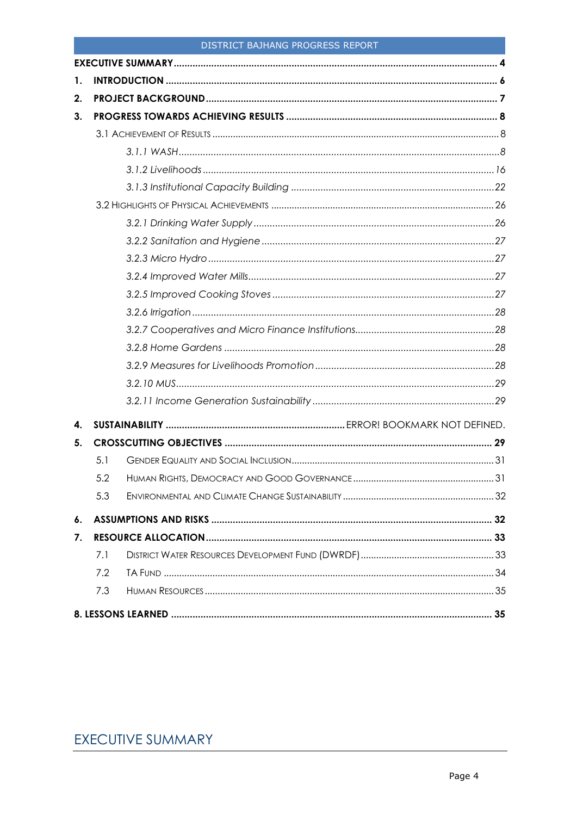<span id="page-3-0"></span>

| 1. |     |  |
|----|-----|--|
| 2. |     |  |
| 3. |     |  |
|    |     |  |
|    |     |  |
|    |     |  |
|    |     |  |
|    |     |  |
|    |     |  |
|    |     |  |
|    |     |  |
|    |     |  |
|    |     |  |
|    |     |  |
|    |     |  |
|    |     |  |
|    |     |  |
|    |     |  |
|    |     |  |
| 4. |     |  |
| 5. |     |  |
|    | 5.1 |  |
|    | 5.2 |  |
|    | 5.3 |  |
| 6. |     |  |
| 7. |     |  |
|    | 7.1 |  |
|    | 7.2 |  |
|    | 7.3 |  |
|    |     |  |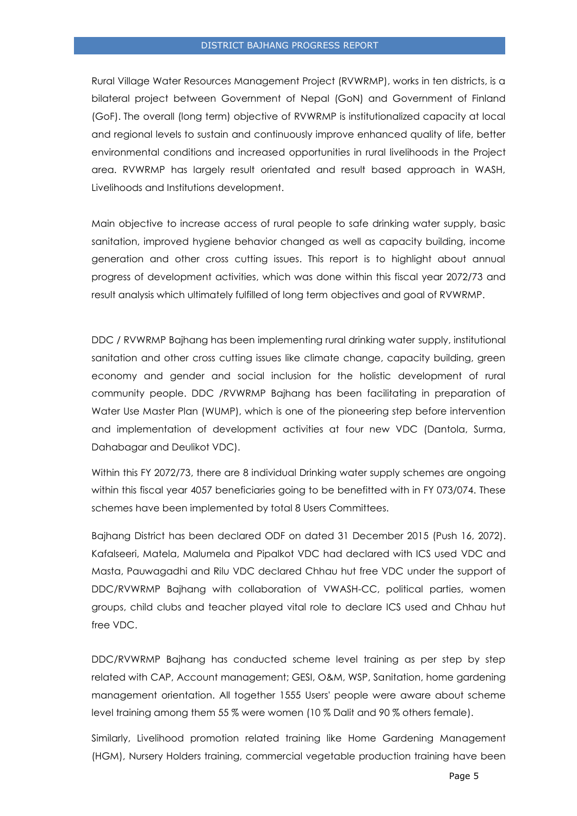Rural Village Water Resources Management Project (RVWRMP), works in ten districts, is a bilateral project between Government of Nepal (GoN) and Government of Finland (GoF). The overall (long term) objective of RVWRMP is institutionalized capacity at local and regional levels to sustain and continuously improve enhanced quality of life, better environmental conditions and increased opportunities in rural livelihoods in the Project area. RVWRMP has largely result orientated and result based approach in WASH, Livelihoods and Institutions development.

Main objective to increase access of rural people to safe drinking water supply, basic sanitation, improved hygiene behavior changed as well as capacity building, income generation and other cross cutting issues. This report is to highlight about annual progress of development activities, which was done within this fiscal year 2072/73 and result analysis which ultimately fulfilled of long term objectives and goal of RVWRMP.

DDC / RVWRMP Bajhang has been implementing rural drinking water supply, institutional sanitation and other cross cutting issues like climate change, capacity building, green economy and gender and social inclusion for the holistic development of rural community people. DDC /RVWRMP Bajhang has been facilitating in preparation of Water Use Master Plan (WUMP), which is one of the pioneering step before intervention and implementation of development activities at four new VDC (Dantola, Surma, Dahabagar and Deulikot VDC).

Within this FY 2072/73, there are 8 individual Drinking water supply schemes are ongoing within this fiscal year 4057 beneficiaries going to be benefitted with in FY 073/074. These schemes have been implemented by total 8 Users Committees.

Bajhang District has been declared ODF on dated 31 December 2015 (Push 16, 2072). Kafalseeri, Matela, Malumela and Pipalkot VDC had declared with ICS used VDC and Masta, Pauwagadhi and Rilu VDC declared Chhau hut free VDC under the support of DDC/RVWRMP Bajhang with collaboration of VWASH-CC, political parties, women groups, child clubs and teacher played vital role to declare ICS used and Chhau hut free VDC.

DDC/RVWRMP Bajhang has conducted scheme level training as per step by step related with CAP, Account management; GESI, O&M, WSP, Sanitation, home gardening management orientation. All together 1555 Users' people were aware about scheme level training among them 55 % were women (10 % Dalit and 90 % others female).

Similarly, Livelihood promotion related training like Home Gardening Management (HGM), Nursery Holders training, commercial vegetable production training have been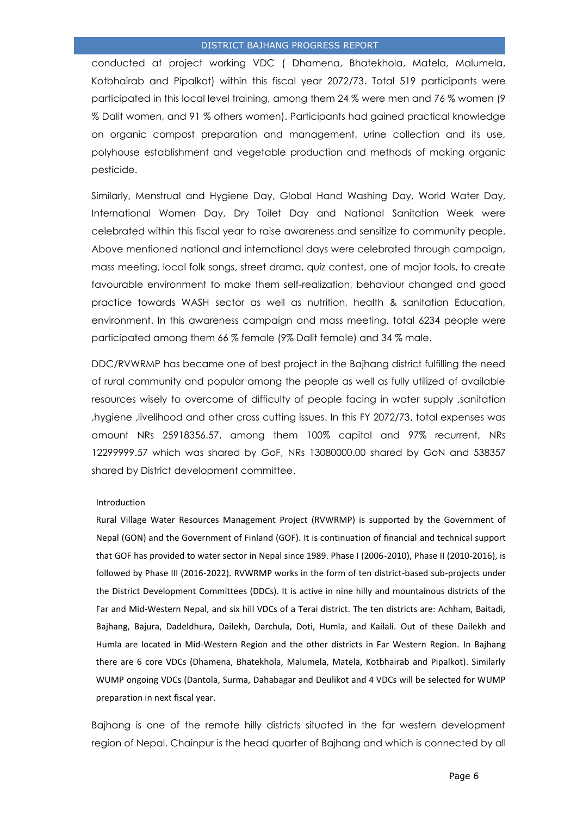conducted at project working VDC ( Dhamena, Bhatekhola, Matela, Malumela, Kotbhairab and Pipalkot) within this fiscal year 2072/73. Total 519 participants were participated in this local level training, among them 24 % were men and 76 % women (9 % Dalit women, and 91 % others women). Participants had gained practical knowledge on organic compost preparation and management, urine collection and its use, polyhouse establishment and vegetable production and methods of making organic pesticide.

Similarly, Menstrual and Hygiene Day, Global Hand Washing Day, World Water Day, International Women Day, Dry Toilet Day and National Sanitation Week were celebrated within this fiscal year to raise awareness and sensitize to community people. Above mentioned national and international days were celebrated through campaign, mass meeting, local folk songs, street drama, quiz contest, one of major tools, to create favourable environment to make them self-realization, behaviour changed and good practice towards WASH sector as well as nutrition, health & sanitation Education, environment. In this awareness campaign and mass meeting, total 6234 people were participated among them 66 % female (9% Dalit female) and 34 % male.

DDC/RVWRMP has became one of best project in the Bajhang district fulfilling the need of rural community and popular among the people as well as fully utilized of available resources wisely to overcome of difficulty of people facing in water supply ,sanitation ,hygiene ,livelihood and other cross cutting issues. In this FY 2072/73, total expenses was amount NRs 25918356.57, among them 100% capital and 97% recurrent, NRs 12299999.57 which was shared by GoF, NRs 13080000.00 shared by GoN and 538357 shared by District development committee.

#### <span id="page-5-0"></span>Introduction

Rural Village Water Resources Management Project (RVWRMP) is supported by the Government of Nepal (GON) and the Government of Finland (GOF). It is continuation of financial and technical support that GOF has provided to water sector in Nepal since 1989. Phase I (2006-2010), Phase II (2010-2016), is followed by Phase III (2016-2022). RVWRMP works in the form of ten district-based sub-projects under the District Development Committees (DDCs). It is active in nine hilly and mountainous districts of the Far and Mid-Western Nepal, and six hill VDCs of a Terai district. The ten districts are: Achham, Baitadi, Bajhang, Bajura, Dadeldhura, Dailekh, Darchula, Doti, Humla, and Kailali. Out of these Dailekh and Humla are located in Mid-Western Region and the other districts in Far Western Region. In Bajhang there are 6 core VDCs (Dhamena, Bhatekhola, Malumela, Matela, Kotbhairab and Pipalkot). Similarly WUMP ongoing VDCs (Dantola, Surma, Dahabagar and Deulikot and 4 VDCs will be selected for WUMP preparation in next fiscal year.

Bajhang is one of the remote hilly districts situated in the far western development region of Nepal. Chainpur is the head quarter of Bajhang and which is connected by all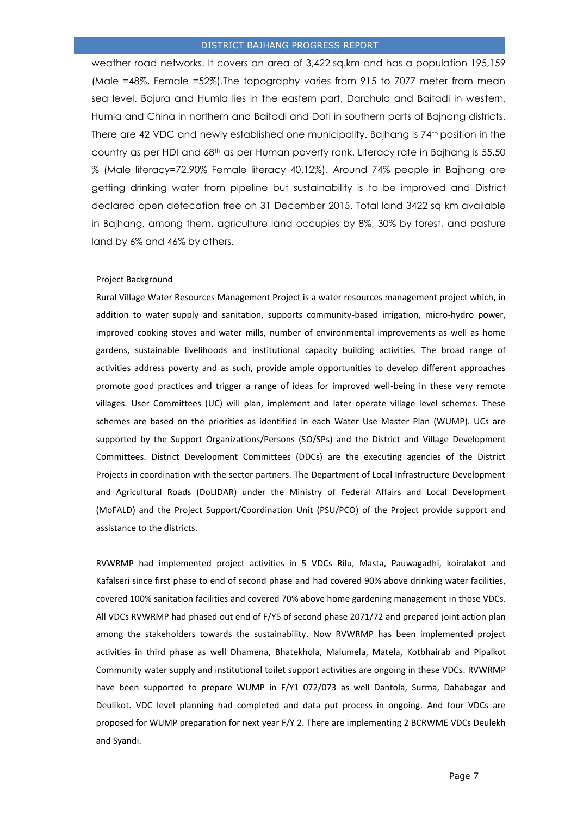weather road networks. It covers an area of 3,422 sq.km and has a population 195,159 (Male =48%, Female =52%).The topography varies from 915 to 7077 meter from mean sea level. Bajura and Humla lies in the eastern part, Darchula and Baitadi in western, Humla and China in northern and Baitadi and Doti in southern parts of Bajhang districts. There are 42 VDC and newly established one municipality. Bajhang is 74<sup>th</sup> position in the country as per HDI and  $68<sup>th</sup>$  as per Human poverty rank. Literacy rate in Bajhang is 55.50 % (Male literacy=72.90% Female literacy 40.12%). Around 74% people in Bajhang are getting drinking water from pipeline but sustainability is to be improved and District declared open defecation free on 31 December 2015. Total land 3422 sq km available in Bajhang, among them, agriculture land occupies by 8%, 30% by forest, and pasture land by 6% and 46% by others.

#### <span id="page-6-0"></span>Project Background

Rural Village Water Resources Management Project is a water resources management project which, in addition to water supply and sanitation, supports community-based irrigation, micro-hydro power, improved cooking stoves and water mills, number of environmental improvements as well as home gardens, sustainable livelihoods and institutional capacity building activities. The broad range of activities address poverty and as such, provide ample opportunities to develop different approaches promote good practices and trigger a range of ideas for improved well-being in these very remote villages. User Committees (UC) will plan, implement and later operate village level schemes. These schemes are based on the priorities as identified in each Water Use Master Plan (WUMP). UCs are supported by the Support Organizations/Persons (SO/SPs) and the District and Village Development Committees. District Development Committees (DDCs) are the executing agencies of the District Projects in coordination with the sector partners. The Department of Local Infrastructure Development and Agricultural Roads (DoLIDAR) under the Ministry of Federal Affairs and Local Development (MoFALD) and the Project Support/Coordination Unit (PSU/PCO) of the Project provide support and assistance to the districts.

RVWRMP had implemented project activities in 5 VDCs Rilu, Masta, Pauwagadhi, koiralakot and Kafalseri since first phase to end of second phase and had covered 90% above drinking water facilities, covered 100% sanitation facilities and covered 70% above home gardening management in those VDCs. All VDCs RVWRMP had phased out end of F/Y5 of second phase 2071/72 and prepared joint action plan among the stakeholders towards the sustainability. Now RVWRMP has been implemented project activities in third phase as well Dhamena, Bhatekhola, Malumela, Matela, Kotbhairab and Pipalkot Community water supply and institutional toilet support activities are ongoing in these VDCs. RVWRMP have been supported to prepare WUMP in F/Y1 072/073 as well Dantola, Surma, Dahabagar and Deulikot. VDC level planning had completed and data put process in ongoing. And four VDCs are proposed for WUMP preparation for next year F/Y 2. There are implementing 2 BCRWME VDCs Deulekh and Syandi.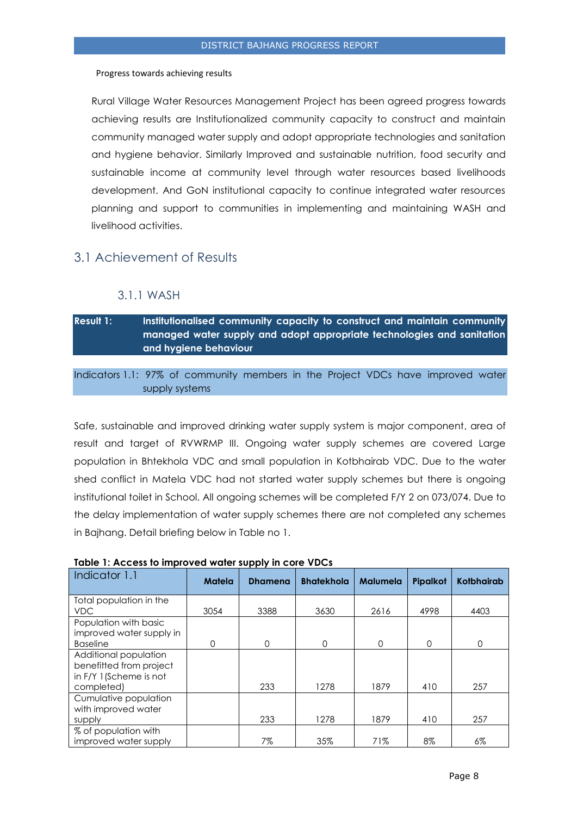#### <span id="page-7-0"></span>Progress towards achieving results

Rural Village Water Resources Management Project has been agreed progress towards achieving results are Institutionalized community capacity to construct and maintain community managed water supply and adopt appropriate technologies and sanitation and hygiene behavior. Similarly Improved and sustainable nutrition, food security and sustainable income at community level through water resources based livelihoods development. And GoN institutional capacity to continue integrated water resources planning and support to communities in implementing and maintaining WASH and livelihood activities.

## <span id="page-7-1"></span>3.1 Achievement of Results

#### 3.1.1 WASH

<span id="page-7-2"></span>**Result 1: Institutionalised community capacity to construct and maintain community managed water supply and adopt appropriate technologies and sanitation and hygiene behaviour** 

Indicators 1.1: 97% of community members in the Project VDCs have improved water supply systems

Safe, sustainable and improved drinking water supply system is major component, area of result and target of RVWRMP III. Ongoing water supply schemes are covered Large population in Bhtekhola VDC and small population in Kotbhairab VDC. Due to the water shed conflict in Matela VDC had not started water supply schemes but there is ongoing institutional toilet in School. All ongoing schemes will be completed F/Y 2 on 073/074. Due to the delay implementation of water supply schemes there are not completed any schemes in Bajhang. Detail briefing below in Table no 1.

| Indicator 1.1                                                                             | <b>Matela</b> | <b>Dhamena</b> | <b>Bhatekhola</b> | <b>Malumela</b> | Pipalkot | <b>Kotbhairab</b> |
|-------------------------------------------------------------------------------------------|---------------|----------------|-------------------|-----------------|----------|-------------------|
| Total population in the<br><b>VDC</b>                                                     | 3054          | 3388           | 3630              | 2616            | 4998     | 4403              |
| Population with basic<br>improved water supply in<br><b>Baseline</b>                      | $\Omega$      | $\Omega$       | $\Omega$          | $\Omega$        | 0        | $\Omega$          |
| Additional population<br>benefitted from project<br>in F/Y 1 (Scheme is not<br>completed) |               | 233            | 1278              | 1879            | 410      | 257               |
| Cumulative population<br>with improved water<br>supply                                    |               | 233            | 1278              | 1879            | 410      | 257               |
| % of population with<br>improved water supply                                             |               | 7%             | 35%               | 71%             | 8%       | 6%                |

#### **Table 1: Access to improved water supply in core VDCs**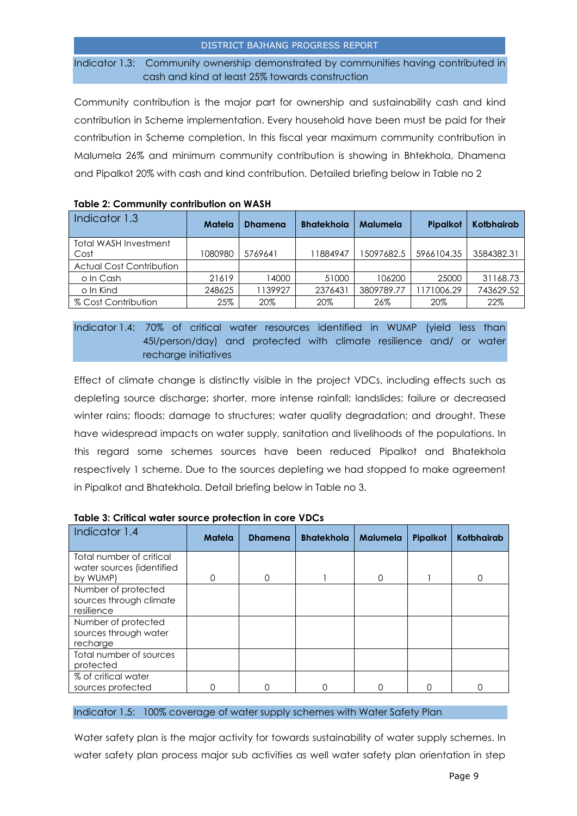Indicator 1.3: Community ownership demonstrated by communities having contributed in cash and kind at least 25% towards construction

Community contribution is the major part for ownership and sustainability cash and kind contribution in Scheme implementation. Every household have been must be paid for their contribution in Scheme completion. In this fiscal year maximum community contribution in Malumela 26% and minimum community contribution is showing in Bhtekhola, Dhamena and Pipalkot 20% with cash and kind contribution. Detailed briefing below in Table no 2

| <b>TODIC 2. COMMITMENT COMMISSION ON WASH</b> |         |                |                   |            |            |                   |  |  |
|-----------------------------------------------|---------|----------------|-------------------|------------|------------|-------------------|--|--|
| Indicator 1.3                                 | Matela  | <b>Dhamena</b> | <b>Bhatekhola</b> | Malumela   | Pipalkot   | <b>Kotbhairab</b> |  |  |
| <b>Total WASH Investment</b><br>Cost          | 1080980 | 5769641        | 11884947          | 15097682.5 | 5966104.35 | 3584382.31        |  |  |
| <b>Actual Cost Contribution</b>               |         |                |                   |            |            |                   |  |  |
| o In Cash                                     | 21619   | 14000          | 51000             | 106200     | 25000      | 31168.73          |  |  |
| o In Kind                                     | 248625  | 1139927        | 2376431           | 3809789.77 | 1171006.29 | 743629.52         |  |  |
| % Cost Contribution                           | 25%     | 20%            | 20%               | 26%        | 20%        | 22%               |  |  |

#### **Table 2: Community contribution on WASH**

Indicator 1.4: 70% of critical water resources identified in WUMP (yield less than 45l/person/day) and protected with climate resilience and/ or water recharge initiatives

Effect of climate change is distinctly visible in the project VDCs, including effects such as depleting source discharge; shorter, more intense rainfall; landslides; failure or decreased winter rains; floods; damage to structures; water quality degradation; and drought. These have widespread impacts on water supply, sanitation and livelihoods of the populations. In this regard some schemes sources have been reduced Pipalkot and Bhatekhola respectively 1 scheme. Due to the sources depleting we had stopped to make agreement in Pipalkot and Bhatekhola. Detail briefing below in Table no 3.

| Indicator 1.4                                                     | Matela | <b>Dhamena</b> | <b>Bhatekhola</b> | <b>Malumela</b> | Pipalkot | <b>Kotbhairab</b> |
|-------------------------------------------------------------------|--------|----------------|-------------------|-----------------|----------|-------------------|
| Total number of critical<br>water sources (identified<br>by WUMP) | 0      | 0              |                   | $\Omega$        |          | <sup>0</sup>      |
| Number of protected<br>sources through climate<br>resilience      |        |                |                   |                 |          |                   |
| Number of protected<br>sources through water<br>recharge          |        |                |                   |                 |          |                   |
| Total number of sources<br>protected                              |        |                |                   |                 |          |                   |
| % of critical water<br>sources protected                          |        |                |                   |                 |          |                   |

| Table 3: Critical water source protection in core VDCs |  |
|--------------------------------------------------------|--|
|--------------------------------------------------------|--|

#### Indicator 1.5: 100% coverage of water supply schemes with Water Safety Plan

Water safety plan is the major activity for towards sustainability of water supply schemes. In water safety plan process major sub activities as well water safety plan orientation in step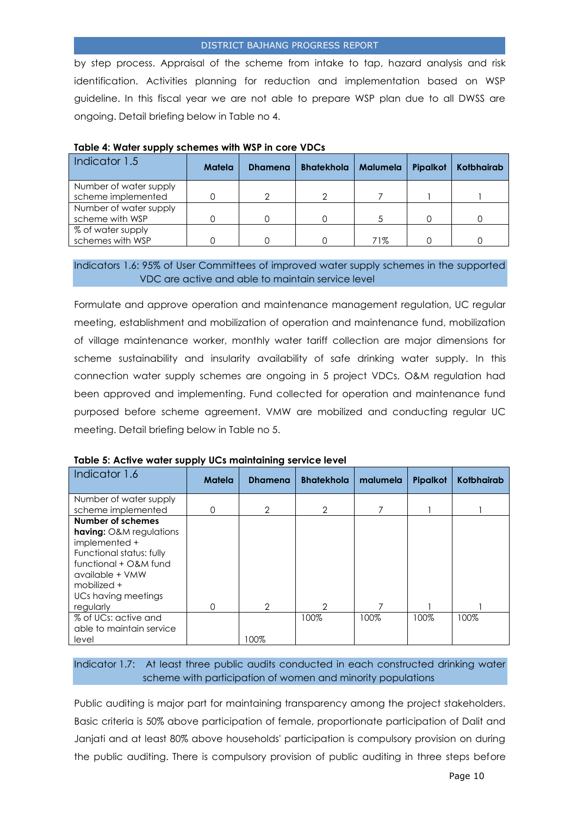by step process. Appraisal of the scheme from intake to tap, hazard analysis and risk identification. Activities planning for reduction and implementation based on WSP guideline. In this fiscal year we are not able to prepare WSP plan due to all DWSS are ongoing. Detail briefing below in Table no 4.

| Indicator 1.5          | Matela | <b>Dhamena</b> | <b>Bhatekhola</b> | Malumela | Pipalkot | <b>Kotbhairab</b> |  |
|------------------------|--------|----------------|-------------------|----------|----------|-------------------|--|
| Number of water supply |        |                |                   |          |          |                   |  |
| scheme implemented     |        |                |                   |          |          |                   |  |
| Number of water supply |        |                |                   |          |          |                   |  |
| scheme with WSP        |        |                |                   |          |          |                   |  |
| % of water supply      |        |                |                   |          |          |                   |  |
| schemes with WSP       |        |                |                   | 71%      |          |                   |  |

| Table 4: Water supply schemes with WSP in core VDCs |  |  |  |  |  |  |
|-----------------------------------------------------|--|--|--|--|--|--|
|-----------------------------------------------------|--|--|--|--|--|--|

#### Indicators 1.6: 95% of User Committees of improved water supply schemes in the supported VDC are active and able to maintain service level

Formulate and approve operation and maintenance management regulation, UC regular meeting, establishment and mobilization of operation and maintenance fund, mobilization of village maintenance worker, monthly water tariff collection are major dimensions for scheme sustainability and insularity availability of safe drinking water supply. In this connection water supply schemes are ongoing in 5 project VDCs, O&M regulation had been approved and implementing. Fund collected for operation and maintenance fund purposed before scheme agreement. VMW are mobilized and conducting regular UC meeting. Detail briefing below in Table no 5.

| Indicator 1.6                                       | Matela | <b>Dhamena</b> | <b>Bhatekhola</b> | malumela | Pipalkot | <b>Kotbhairab</b> |
|-----------------------------------------------------|--------|----------------|-------------------|----------|----------|-------------------|
| Number of water supply                              |        |                |                   |          |          |                   |
| scheme implemented                                  | Ω      | $\overline{2}$ | 2                 |          |          |                   |
| Number of schemes<br><b>having:</b> O&M regulations |        |                |                   |          |          |                   |
| implemented +                                       |        |                |                   |          |          |                   |
| Functional status: fully                            |        |                |                   |          |          |                   |
| functional + O&M fund                               |        |                |                   |          |          |                   |
| available + VMW                                     |        |                |                   |          |          |                   |
| mobilized +                                         |        |                |                   |          |          |                   |
| UCs having meetings                                 |        |                |                   |          |          |                   |
| regularly                                           | 0      | 2              | 2                 |          |          |                   |
| % of UCs: active and                                |        |                | 100%              | 100%     | 100%     | 100%              |
| able to maintain service                            |        |                |                   |          |          |                   |
| level                                               |        | 100%           |                   |          |          |                   |

**Table 5: Active water supply UCs maintaining service level**

Indicator 1.7: At least three public audits conducted in each constructed drinking water scheme with participation of women and minority populations

Public auditing is major part for maintaining transparency among the project stakeholders. Basic criteria is 50% above participation of female, proportionate participation of Dalit and Janjati and at least 80% above households' participation is compulsory provision on during the public auditing. There is compulsory provision of public auditing in three steps before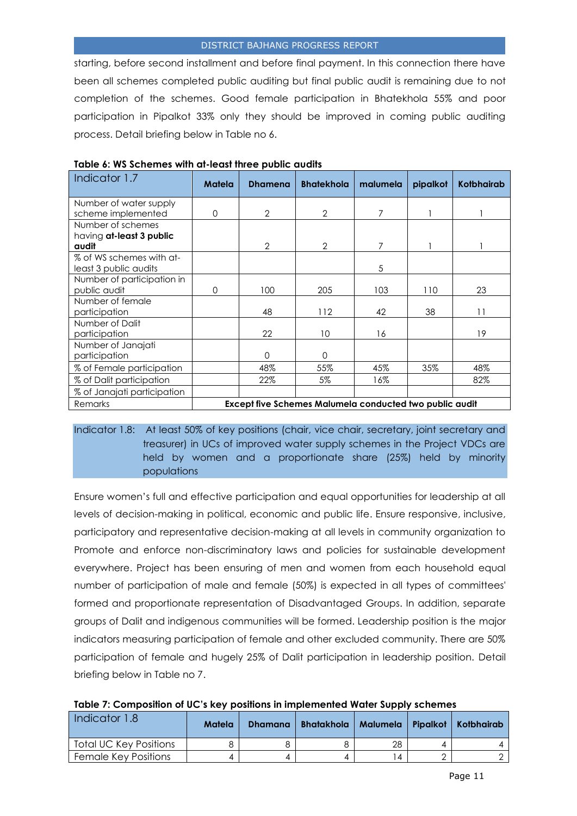starting, before second installment and before final payment. In this connection there have been all schemes completed public auditing but final public audit is remaining due to not completion of the schemes. Good female participation in Bhatekhola 55% and poor participation in Pipalkot 33% only they should be improved in coming public auditing process. Detail briefing below in Table no 6.

| Indicator 1.7               | Matela                                                  | <b>Dhamena</b> | <b>Bhatekhola</b> | malumela | pipalkot | Kotbhairab      |
|-----------------------------|---------------------------------------------------------|----------------|-------------------|----------|----------|-----------------|
| Number of water supply      |                                                         |                |                   |          |          |                 |
| scheme implemented          | $\Omega$                                                | $\overline{2}$ | 2                 | 7        |          |                 |
| Number of schemes           |                                                         |                |                   |          |          |                 |
| having at-least 3 public    |                                                         |                |                   |          |          |                 |
| audit                       |                                                         | 2              | $\overline{2}$    | 7        |          |                 |
| % of WS schemes with at-    |                                                         |                |                   |          |          |                 |
| least 3 public audits       |                                                         |                |                   | 5        |          |                 |
| Number of participation in  |                                                         |                |                   |          |          |                 |
| public audit                | $\Omega$                                                | 100            | 205               | 103      | 110      | 23              |
| Number of female            |                                                         |                |                   |          |          |                 |
| participation               |                                                         | 48             | 112               | 42       | 38       | $\overline{11}$ |
| Number of Dalit             |                                                         |                |                   |          |          |                 |
| participation               |                                                         | 22             | 10                | 16       |          | 19              |
| Number of Janajati          |                                                         |                |                   |          |          |                 |
| participation               |                                                         | $\Omega$       | 0                 |          |          |                 |
| % of Female participation   |                                                         | 48%            | 55%               | 45%      | 35%      | 48%             |
| % of Dalit participation    |                                                         | 22%            | 5%                | 16%      |          | 82%             |
| % of Janajati participation |                                                         |                |                   |          |          |                 |
| Remarks                     | Except five Schemes Malumela conducted two public audit |                |                   |          |          |                 |

| Table 6: WS Schemes with at-least three public audits |  |  |  |
|-------------------------------------------------------|--|--|--|
|-------------------------------------------------------|--|--|--|

Indicator 1.8: At least 50% of key positions (chair, vice chair, secretary, joint secretary and treasurer) in UCs of improved water supply schemes in the Project VDCs are held by women and a proportionate share (25%) held by minority populations

Ensure women's full and effective participation and equal opportunities for leadership at all levels of decision-making in political, economic and public life. Ensure responsive, inclusive, participatory and representative decision-making at all levels in community organization to Promote and enforce non-discriminatory laws and policies for sustainable development everywhere. Project has been ensuring of men and women from each household equal number of participation of male and female (50%) is expected in all types of committees' formed and proportionate representation of Disadvantaged Groups. In addition, separate groups of Dalit and indigenous communities will be formed. Leadership position is the major indicators measuring participation of female and other excluded community. There are 50% participation of female and hugely 25% of Dalit participation in leadership position. Detail briefing below in Table no 7.

| Table 7: Composition of UC's key positions in implemented Water Supply schemes |  |  |  |
|--------------------------------------------------------------------------------|--|--|--|
|                                                                                |  |  |  |

| Indicator 1.8               | Matela | <b>Dhamana</b> | <b>Bhatakhola</b> |    | Malumela   Pipalkot   Kotbhairab |
|-----------------------------|--------|----------------|-------------------|----|----------------------------------|
| Total UC Key Positions      |        |                |                   | 28 |                                  |
| <b>Female Key Positions</b> |        |                |                   | 4  |                                  |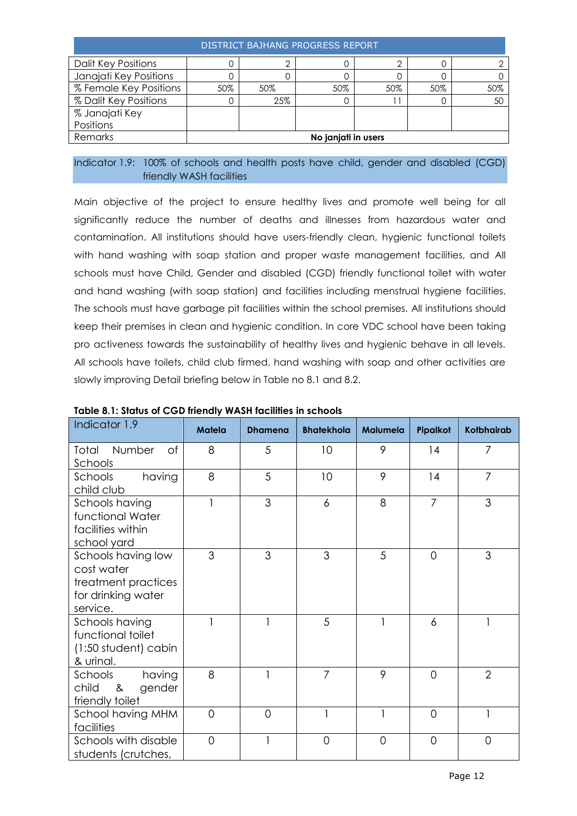| DISTRICT BAJHANG PROGRESS REPORT |     |     |                     |     |     |     |  |
|----------------------------------|-----|-----|---------------------|-----|-----|-----|--|
| <b>Dalit Key Positions</b>       |     |     |                     |     |     |     |  |
| Janajati Key Positions           |     |     |                     |     |     |     |  |
| % Female Key Positions           | 50% | 50% | 50%                 | 50% | 50% | 50% |  |
| % Dalit Key Positions            |     | 25% |                     |     |     | .5C |  |
| % Janajati Key                   |     |     |                     |     |     |     |  |
| Positions                        |     |     |                     |     |     |     |  |
| Remarks                          |     |     | No janjati in users |     |     |     |  |

#### Indicator 1.9: 100% of schools and health posts have child, gender and disabled (CGD) friendly WASH facilities

Main objective of the project to ensure healthy lives and promote well being for all significantly reduce the number of deaths and illnesses from hazardous water and contamination. All institutions should have users-friendly clean, hygienic functional toilets with hand washing with soap station and proper waste management facilities, and All schools must have Child, Gender and disabled (CGD) friendly functional toilet with water and hand washing (with soap station) and facilities including menstrual hygiene facilities. The schools must have garbage pit facilities within the school premises. All institutions should keep their premises in clean and hygienic condition. In core VDC school have been taking pro activeness towards the sustainability of healthy lives and hygienic behave in all levels. All schools have toilets, child club firmed, hand washing with soap and other activities are slowly improving Detail briefing below in Table no 8.1 and 8.2.

| Indicator 1.9                                                                             | <b>Matela</b>  | <b>Dhamena</b> | <b>Bhatekhola</b> | Malumela       | Pipalkot       | <b>Kotbhairab</b> |
|-------------------------------------------------------------------------------------------|----------------|----------------|-------------------|----------------|----------------|-------------------|
| Number<br><b>of</b><br>Total<br>Schools                                                   | 8              | 5              | 10                | 9              | 14             | $\overline{7}$    |
| having<br>Schools<br>child club                                                           | 8              | 5              | 10                | 9              | 14             | $\overline{7}$    |
| Schools having<br>functional Water<br>facilities within<br>school yard                    | 1              | 3              | 6                 | 8              | $\overline{7}$ | 3                 |
| Schools having low<br>cost water<br>treatment practices<br>for drinking water<br>service. | 3              | 3              | 3                 | 5              | $\Omega$       | 3                 |
| Schools having<br>functional toilet<br>(1:50 student) cabin<br>& urinal.                  | 1              |                | 5                 | 1              | 6              | 1                 |
| having<br>Schools<br>child<br>gender<br>8 <sup>2</sup><br>friendly toilet                 | 8              |                | $\overline{7}$    | 9              | $\overline{0}$ | $\overline{2}$    |
| School having MHM<br>facilities                                                           | 0              | $\overline{0}$ | $\mathbf{1}$      | 1              | $\Omega$       | 1                 |
| Schools with disable<br>students (crutches,                                               | $\overline{O}$ |                | $\overline{O}$    | $\overline{0}$ | $\overline{0}$ | $\overline{0}$    |

#### **Table 8.1: Status of CGD friendly WASH facilities in schools**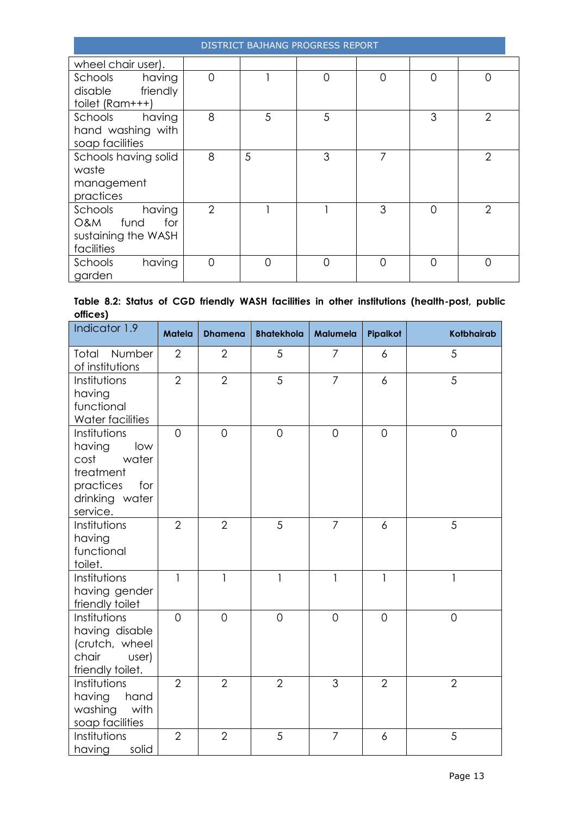|                                                                              |                |   | DISTRICT BAJHANG PROGRESS REPORT |          |          |                |
|------------------------------------------------------------------------------|----------------|---|----------------------------------|----------|----------|----------------|
| wheel chair user).                                                           |                |   |                                  |          |          |                |
| Schools<br>having<br>friendly<br>disable<br>toilet (Ram+++)                  | $\overline{O}$ |   | $\overline{0}$                   | 0        | $\Omega$ | 0              |
| Schools<br>having<br>hand washing with<br>soap facilities                    | 8              | 5 | 5                                |          | 3        | $\overline{2}$ |
| Schools having solid<br>waste<br>management<br>practices                     | 8              | 5 | 3                                | 7        |          | $\overline{2}$ |
| Schools<br>having<br>fund<br>for<br>O&M<br>sustaining the WASH<br>facilities | $\overline{2}$ |   |                                  | 3        | $\Omega$ | $\overline{2}$ |
| Schools<br>having<br>garden                                                  | $\Omega$       | ∩ | $\Omega$                         | $\Omega$ | $\Omega$ | $\Omega$       |

## **Table 8.2: Status of CGD friendly WASH facilities in other institutions (health-post, public offices)**

| Indicator 1.9                                                                                                 | <b>Matela</b>  | <b>Dhamena</b> | <b>Bhatekhola</b> | Malumela       | Pipalkot       | <b>Kotbhairab</b> |
|---------------------------------------------------------------------------------------------------------------|----------------|----------------|-------------------|----------------|----------------|-------------------|
| Total Number<br>of institutions                                                                               | $\overline{2}$ | $\overline{2}$ | 5                 | $\overline{7}$ | 6              | 5                 |
| Institutions<br>having<br>functional<br>Water facilities                                                      | $\overline{2}$ | $\overline{2}$ | 5                 | $\overline{7}$ | 6              | 5                 |
| Institutions<br>having<br>low<br>water<br>cost<br>treatment<br>practices<br>for<br>drinking water<br>service. | $\overline{0}$ | $\overline{0}$ | $\overline{O}$    | $\overline{0}$ | $\overline{O}$ | $\mathbf 0$       |
| Institutions<br>having<br>functional<br>toilet.                                                               | $\overline{2}$ | $\overline{2}$ | 5                 | $\overline{7}$ | 6              | 5                 |
| Institutions<br>having gender<br>friendly toilet                                                              | $\overline{1}$ | $\mathbf{1}$   | $\mathbf{1}$      | $\mathbf{1}$   | $\mathbf{1}$   | $\mathbf{1}$      |
| Institutions<br>having disable<br>(crutch, wheel<br>chair<br>user)<br>friendly toilet.                        | $\Omega$       | $\overline{0}$ | $\overline{O}$    | $\Omega$       | $\Omega$       | $\overline{O}$    |
| Institutions<br>having<br>hand<br>washing<br>with<br>soap facilities                                          | $\overline{2}$ | $\overline{2}$ | $\overline{2}$    | 3              | $\overline{2}$ | $\overline{2}$    |
| Institutions<br>having<br>solid                                                                               | $\overline{2}$ | $\overline{2}$ | 5                 | $\overline{7}$ | 6              | 5                 |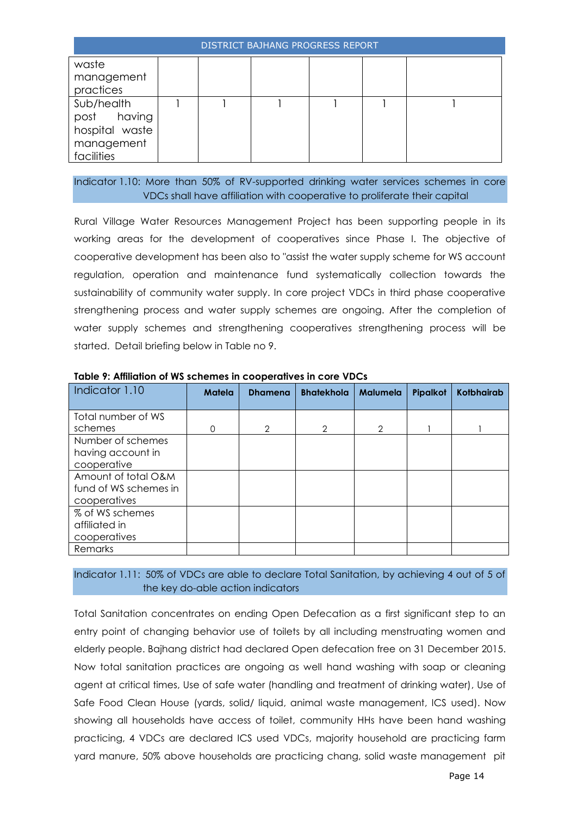| <b>DISTRICT BAJHANG PROGRESS REPORT</b>                                 |  |  |  |  |  |  |  |  |
|-------------------------------------------------------------------------|--|--|--|--|--|--|--|--|
| waste<br>management<br>practices                                        |  |  |  |  |  |  |  |  |
| Sub/health<br>post having<br>hospital waste<br>management<br>facilities |  |  |  |  |  |  |  |  |

Indicator 1.10: More than 50% of RV-supported drinking water services schemes in core VDCs shall have affiliation with cooperative to proliferate their capital

Rural Village Water Resources Management Project has been supporting people in its working areas for the development of cooperatives since Phase I. The objective of cooperative development has been also to "assist the water supply scheme for WS account regulation, operation and maintenance fund systematically collection towards the sustainability of community water supply. In core project VDCs in third phase cooperative strengthening process and water supply schemes are ongoing. After the completion of water supply schemes and strengthening cooperatives strengthening process will be started. Detail briefing below in Table no 9.

| Indicator 1.10        | Matela   | <b>Dhamena</b> | <b>Bhatekhola</b> | <b>Malumela</b> | Pipalkot | <b>Kotbhairab</b> |
|-----------------------|----------|----------------|-------------------|-----------------|----------|-------------------|
|                       |          |                |                   |                 |          |                   |
| Total number of WS    |          |                |                   |                 |          |                   |
| schemes               | $\Omega$ | $\overline{2}$ | $\mathcal{P}$     | 2               |          |                   |
| Number of schemes     |          |                |                   |                 |          |                   |
| having account in     |          |                |                   |                 |          |                   |
| cooperative           |          |                |                   |                 |          |                   |
| Amount of total O&M   |          |                |                   |                 |          |                   |
| fund of WS schemes in |          |                |                   |                 |          |                   |
| cooperatives          |          |                |                   |                 |          |                   |
| % of WS schemes       |          |                |                   |                 |          |                   |
| affiliated in         |          |                |                   |                 |          |                   |
| cooperatives          |          |                |                   |                 |          |                   |
| Remarks               |          |                |                   |                 |          |                   |

**Table 9: Affiliation of WS schemes in cooperatives in core VDCs**

## Indicator 1.11: 50% of VDCs are able to declare Total Sanitation, by achieving 4 out of 5 of the key do-able action indicators

Total Sanitation concentrates on ending Open Defecation as a first significant step to an entry point of changing behavior use of toilets by all including menstruating women and elderly people. Bajhang district had declared Open defecation free on 31 December 2015. Now total sanitation practices are ongoing as well hand washing with soap or cleaning agent at critical times, Use of safe water (handling and treatment of drinking water), Use of Safe Food Clean House (yards, solid/ liquid, animal waste management, ICS used). Now showing all households have access of toilet, community HHs have been hand washing practicing, 4 VDCs are declared ICS used VDCs, majority household are practicing farm yard manure, 50% above households are practicing chang, solid waste management pit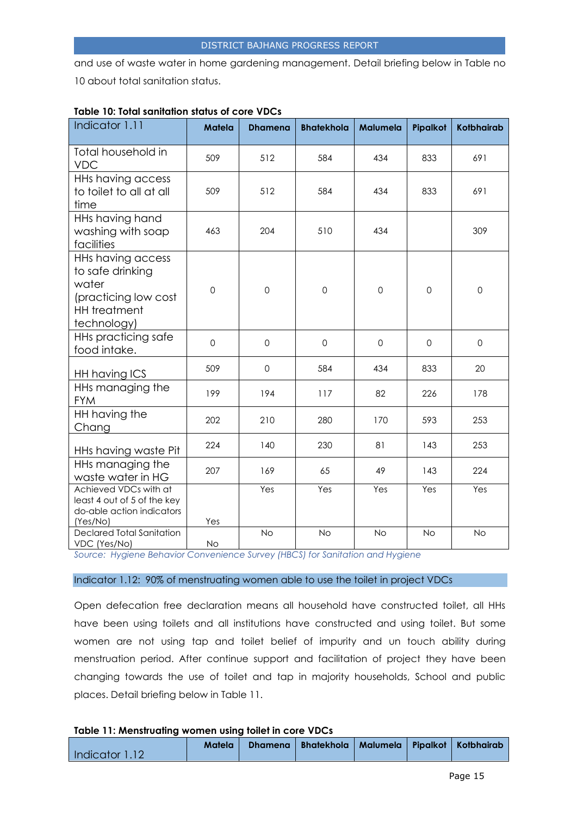and use of waste water in home gardening management. Detail briefing below in Table no 10 about total sanitation status.

| Indicator 1.11                                                                                                      | <b>Matela</b> | <b>Dhamena</b>      | <b>Bhatekhola</b>   | Malumela            | Pipalkot            | <b>Kotbhairab</b> |
|---------------------------------------------------------------------------------------------------------------------|---------------|---------------------|---------------------|---------------------|---------------------|-------------------|
| Total household in<br><b>VDC</b>                                                                                    | 509           | 512                 | 584                 | 434                 | 833                 | 691               |
| HHs having access<br>to toilet to all at all<br>time                                                                | 509           | 512                 | 584                 | 434                 | 833                 | 691               |
| HHs having hand<br>washing with soap<br>facilities                                                                  | 463           | 204                 | 510                 | 434                 |                     | 309               |
| <b>HHs having access</b><br>to safe drinking<br>water<br>(practicing low cost<br><b>HH</b> treatment<br>technology) | $\mathbf 0$   | $\mathsf{O}\xspace$ | $\mathsf{O}\xspace$ | $\mathsf{O}\xspace$ | $\mathsf{O}\xspace$ | $\mathbf 0$       |
| HHs practicing safe<br>food intake.                                                                                 | $\Omega$      | $\Omega$            | $\Omega$            | $\mathbf 0$         | $\Omega$            | $\Omega$          |
| HH having ICS                                                                                                       | 509           | $\mathbf 0$         | 584                 | 434                 | 833                 | 20                |
| HHs managing the<br><b>FYM</b>                                                                                      | 199           | 194                 | 117                 | 82                  | 226                 | 178               |
| HH having the<br>Chang                                                                                              | 202           | 210                 | 280                 | 170                 | 593                 | 253               |
| HHs having waste Pit                                                                                                | 224           | 140                 | 230                 | 81                  | 143                 | 253               |
| HHs managing the<br>waste water in HG                                                                               | 207           | 169                 | 65                  | 49                  | 143                 | 224               |
| Achieved VDCs with at<br>least 4 out of 5 of the key<br>do-able action indicators<br>(Yes/No)                       | Yes           | Yes                 | Yes                 | Yes                 | Yes                 | Yes               |
| <b>Declared Total Sanitation</b><br>VDC (Yes/No)                                                                    | <b>No</b>     | <b>No</b>           | <b>No</b>           | <b>No</b>           | <b>No</b>           | <b>No</b>         |

#### **Table 10: Total sanitation status of core VDCs**

*Source: Hygiene Behavior Convenience Survey (HBCS) for Sanitation and Hygiene*

#### Indicator 1.12: 90% of menstruating women able to use the toilet in project VDCs

Open defecation free declaration means all household have constructed toilet, all HHs have been using toilets and all institutions have constructed and using toilet. But some women are not using tap and toilet belief of impurity and un touch ability during menstruation period. After continue support and facilitation of project they have been changing towards the use of toilet and tap in majority households, School and public places. Detail briefing below in Table 11.

#### **Table 11: Menstruating women using toilet in core VDCs**

|                |  | Matela   Dhamena   Bhatekhola   Malumela   Pipalkot   Kotbhairab |  |  |
|----------------|--|------------------------------------------------------------------|--|--|
| Indicator 1.12 |  |                                                                  |  |  |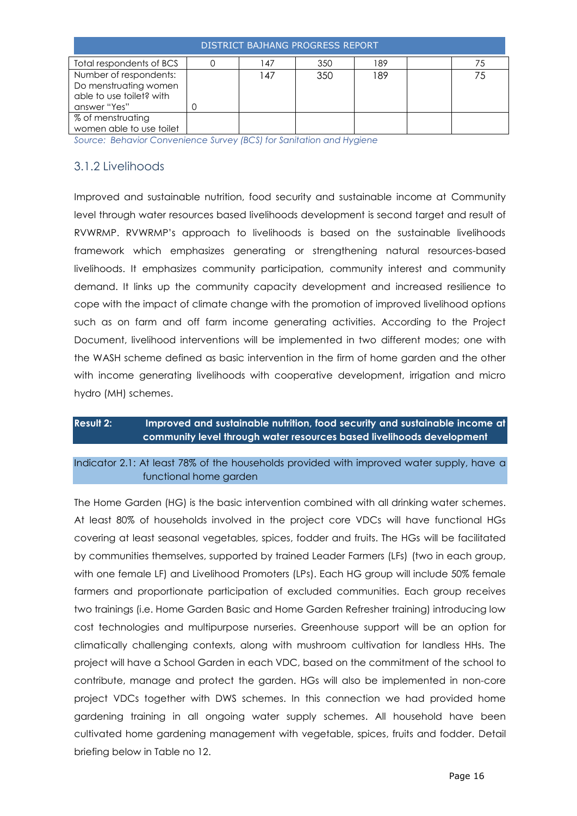| DISTRICT BAJHANG PROGRESS REPORT                                                            |  |    |     |     |  |    |
|---------------------------------------------------------------------------------------------|--|----|-----|-----|--|----|
| Total respondents of BCS                                                                    |  | 47 | 350 | 189 |  |    |
| Number of respondents:<br>Do menstruating women<br>able to use toilet? with<br>answer "Yes" |  | 47 | 350 | 189 |  | 75 |
| % of menstruating<br>women able to use toilet                                               |  |    |     |     |  |    |

*Source: Behavior Convenience Survey (BCS) for Sanitation and Hygiene*

## <span id="page-15-0"></span>3.1.2 Livelihoods

Improved and sustainable nutrition, food security and sustainable income at Community level through water resources based livelihoods development is second target and result of RVWRMP. RVWRMP's approach to livelihoods is based on the sustainable livelihoods framework which emphasizes generating or strengthening natural resources-based livelihoods. It emphasizes community participation, community interest and community demand. It links up the community capacity development and increased resilience to cope with the impact of climate change with the promotion of improved livelihood options such as on farm and off farm income generating activities. According to the Project Document, livelihood interventions will be implemented in two different modes; one with the WASH scheme defined as basic intervention in the firm of home garden and the other with income generating livelihoods with cooperative development, irrigation and micro hydro (MH) schemes.

## **Result 2: Improved and sustainable nutrition, food security and sustainable income at community level through water resources based livelihoods development**

Indicator 2.1: At least 78% of the households provided with improved water supply, have a functional home garden

The Home Garden (HG) is the basic intervention combined with all drinking water schemes. At least 80% of households involved in the project core VDCs will have functional HGs covering at least seasonal vegetables, spices, fodder and fruits. The HGs will be facilitated by communities themselves, supported by trained Leader Farmers (LFs) (two in each group, with one female LF) and Livelihood Promoters (LPs). Each HG group will include 50% female farmers and proportionate participation of excluded communities. Each group receives two trainings (i.e. Home Garden Basic and Home Garden Refresher training) introducing low cost technologies and multipurpose nurseries. Greenhouse support will be an option for climatically challenging contexts, along with mushroom cultivation for landless HHs. The project will have a School Garden in each VDC, based on the commitment of the school to contribute, manage and protect the garden. HGs will also be implemented in non-core project VDCs together with DWS schemes. In this connection we had provided home gardening training in all ongoing water supply schemes. All household have been cultivated home gardening management with vegetable, spices, fruits and fodder. Detail briefing below in Table no 12.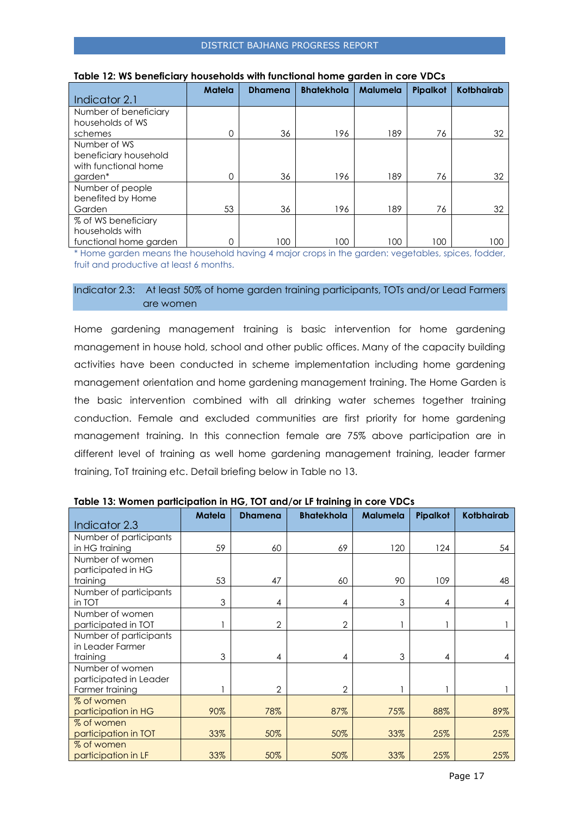|                        | <b>Matela</b> | <b>Dhamena</b> | <b>Bhatekhola</b> | <b>Malumela</b> | Pipalkot | <b>Kotbhairab</b> |
|------------------------|---------------|----------------|-------------------|-----------------|----------|-------------------|
| Indicator 2.1          |               |                |                   |                 |          |                   |
| Number of beneficiary  |               |                |                   |                 |          |                   |
| households of WS       |               |                |                   |                 |          |                   |
| schemes                |               | 36             | 196               | 189             | 76       | 32                |
| Number of WS           |               |                |                   |                 |          |                   |
| beneficiary household  |               |                |                   |                 |          |                   |
| with functional home   |               |                |                   |                 |          |                   |
| garden*                |               | 36             | 196               | 189             | 76       | 32                |
| Number of people       |               |                |                   |                 |          |                   |
| benefited by Home      |               |                |                   |                 |          |                   |
| Garden                 | 53            | 36             | 196               | 189             | 76       | 32                |
| % of WS beneficiary    |               |                |                   |                 |          |                   |
| households with        |               |                |                   |                 |          |                   |
| functional home garden |               | 100            | 100               | 100             | 100      | 100               |

#### **Table 12: WS beneficiary households with functional home garden in core VDCs**

\* Home garden means the household having 4 major crops in the garden: vegetables, spices, fodder, fruit and productive at least 6 months.

#### Indicator 2.3: At least 50% of home garden training participants, TOTs and/or Lead Farmers are women

Home gardening management training is basic intervention for home gardening management in house hold, school and other public offices. Many of the capacity building activities have been conducted in scheme implementation including home gardening management orientation and home gardening management training. The Home Garden is the basic intervention combined with all drinking water schemes together training conduction. Female and excluded communities are first priority for home gardening management training. In this connection female are 75% above participation are in different level of training as well home gardening management training, leader farmer training, ToT training etc. Detail briefing below in Table no 13.

|                        | <b>Matela</b> | <b>Dhamena</b> | <b>Bhatekhola</b> | <b>Malumela</b> | Pipalkot | <b>Kotbhairab</b> |
|------------------------|---------------|----------------|-------------------|-----------------|----------|-------------------|
| Indicator 2.3          |               |                |                   |                 |          |                   |
| Number of participants |               |                |                   |                 |          |                   |
| in HG training         | 59            | 60             | 69                | 120             | 124      | 54                |
| Number of women        |               |                |                   |                 |          |                   |
| participated in HG     |               |                |                   |                 |          |                   |
| training               | 53            | 47             | 60                | 90              | 109      | 48                |
| Number of participants |               |                |                   |                 |          |                   |
| in TOT                 | 3             | 4              | 4                 | 3               | 4        | 4                 |
| Number of women        |               |                |                   |                 |          |                   |
| participated in TOT    |               | $\overline{2}$ | $\overline{2}$    |                 |          |                   |
| Number of participants |               |                |                   |                 |          |                   |
| in Leader Farmer       |               |                |                   |                 |          |                   |
| training               | 3             | 4              | 4                 | 3               | 4        | 4                 |
| Number of women        |               |                |                   |                 |          |                   |
| participated in Leader |               |                |                   |                 |          |                   |
| Farmer training        |               | $\overline{2}$ | $\overline{2}$    |                 |          |                   |
| % of women             |               |                |                   |                 |          |                   |
| participation in HG    | 90%           | 78%            | 87%               | 75%             | 88%      | 89%               |
| % of women             |               |                |                   |                 |          |                   |
| participation in TOT   | 33%           | 50%            | 50%               | 33%             | 25%      | 25%               |
| % of women             |               |                |                   |                 |          |                   |
| participation in LF    | 33%           | 50%            | 50%               | 33%             | 25%      | 25%               |

#### **Table 13: Women participation in HG, TOT and/or LF training in core VDCs**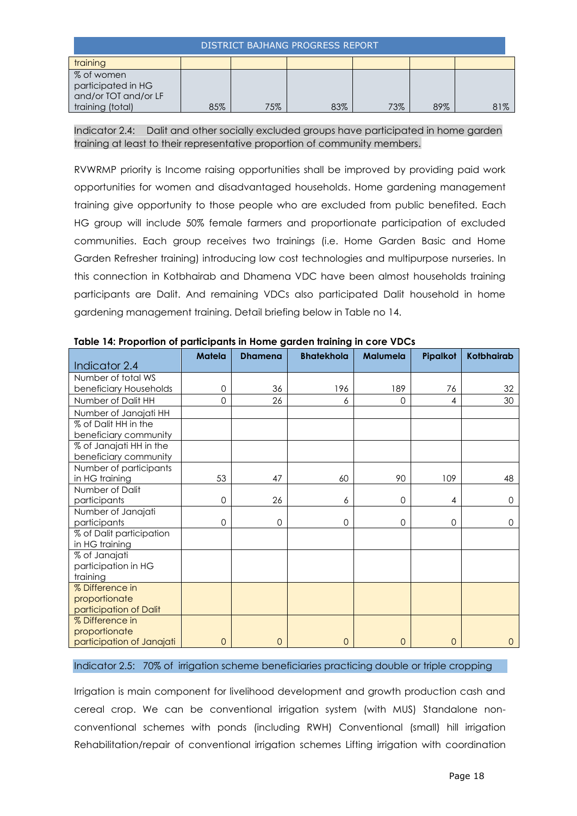| <b>DISTRICT BAJHANG PROGRESS REPORT</b>                  |     |     |     |     |     |     |
|----------------------------------------------------------|-----|-----|-----|-----|-----|-----|
| training                                                 |     |     |     |     |     |     |
| % of women<br>participated in HG<br>and/or TOT and/or LF |     |     |     |     |     |     |
| training (total)                                         | 85% | 75% | 83% | 73% | 89% | 81% |

Indicator 2.4: Dalit and other socially excluded groups have participated in home garden training at least to their representative proportion of community members.

RVWRMP priority is Income raising opportunities shall be improved by providing paid work opportunities for women and disadvantaged households. Home gardening management training give opportunity to those people who are excluded from public benefited. Each HG group will include 50% female farmers and proportionate participation of excluded communities. Each group receives two trainings (i.e. Home Garden Basic and Home Garden Refresher training) introducing low cost technologies and multipurpose nurseries. In this connection in Kotbhairab and Dhamena VDC have been almost households training participants are Dalit. And remaining VDCs also participated Dalit household in home gardening management training. Detail briefing below in Table no 14.

| Table 14: Proponton of participants in Home garden fraining in core VDCs |                |                |                   |                |                 |                   |
|--------------------------------------------------------------------------|----------------|----------------|-------------------|----------------|-----------------|-------------------|
| Indicator 2.4                                                            | Matela         | <b>Dhamena</b> | <b>Bhatekhola</b> | Malumela       | <b>Pipalkot</b> | <b>Kotbhairab</b> |
| Number of total WS                                                       |                |                |                   |                |                 |                   |
| beneficiary Households                                                   | 0              | 36             | 196               | 189            | 76              | 32                |
| Number of Dalit HH                                                       | 0              | 26             | 6                 | 0              | 4               | 30                |
| Number of Janajati HH                                                    |                |                |                   |                |                 |                   |
| % of Dalit HH in the                                                     |                |                |                   |                |                 |                   |
| beneficiary community                                                    |                |                |                   |                |                 |                   |
| % of Janajati HH in the                                                  |                |                |                   |                |                 |                   |
| beneficiary community                                                    |                |                |                   |                |                 |                   |
| Number of participants                                                   |                |                |                   |                |                 |                   |
| in HG training                                                           | 53             | 47             | 60                | 90             | 109             | 48                |
| Number of Dalit                                                          |                |                |                   |                |                 |                   |
| participants                                                             | 0              | 26             | 6                 | $\Omega$       | 4               | $\Omega$          |
| Number of Janajati                                                       |                |                |                   |                |                 |                   |
| participants                                                             | 0              | 0              | 0                 | 0              | $\mathbf 0$     | $\Omega$          |
| % of Dalit participation                                                 |                |                |                   |                |                 |                   |
| in HG training                                                           |                |                |                   |                |                 |                   |
| % of Janajati                                                            |                |                |                   |                |                 |                   |
| participation in HG                                                      |                |                |                   |                |                 |                   |
| training                                                                 |                |                |                   |                |                 |                   |
| % Difference in                                                          |                |                |                   |                |                 |                   |
| proportionate                                                            |                |                |                   |                |                 |                   |
| participation of Dalit                                                   |                |                |                   |                |                 |                   |
| % Difference in                                                          |                |                |                   |                |                 |                   |
| proportionate                                                            |                |                |                   |                |                 |                   |
| participation of Janajati                                                | $\overline{0}$ | $\overline{0}$ | $\overline{0}$    | $\overline{0}$ | $\overline{0}$  | $\mathbf{O}$      |

**Table 14: Proportion of participants in Home garden training in core VDCs**

#### Indicator 2.5: 70% of irrigation scheme beneficiaries practicing double or triple cropping

Irrigation is main component for livelihood development and growth production cash and cereal crop. We can be conventional irrigation system (with MUS) Standalone nonconventional schemes with ponds (including RWH) Conventional (small) hill irrigation Rehabilitation/repair of conventional irrigation schemes Lifting irrigation with coordination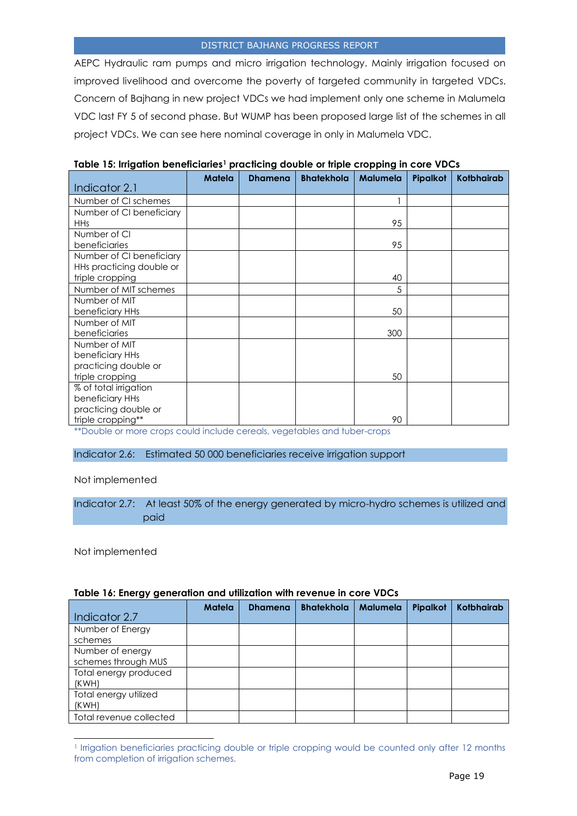AEPC Hydraulic ram pumps and micro irrigation technology. Mainly irrigation focused on improved livelihood and overcome the poverty of targeted community in targeted VDCs. Concern of Bajhang in new project VDCs we had implement only one scheme in Malumela VDC last FY 5 of second phase. But WUMP has been proposed large list of the schemes in all project VDCs. We can see here nominal coverage in only in Malumela VDC.

| Indicator 2.1            | <b>Matela</b> | <b>Dhamena</b> | <b>Bhatekhola</b> | <b>Malumela</b> | Pipalkot | <b>Kotbhairab</b> |
|--------------------------|---------------|----------------|-------------------|-----------------|----------|-------------------|
| Number of CI schemes     |               |                |                   |                 |          |                   |
| Number of CI beneficiary |               |                |                   |                 |          |                   |
| <b>HHs</b>               |               |                |                   | 95              |          |                   |
| Number of CI             |               |                |                   |                 |          |                   |
| beneficiaries            |               |                |                   | 95              |          |                   |
| Number of CI beneficiary |               |                |                   |                 |          |                   |
| HHs practicing double or |               |                |                   |                 |          |                   |
| triple cropping          |               |                |                   | 40              |          |                   |
| Number of MIT schemes    |               |                |                   | 5               |          |                   |
| Number of MIT            |               |                |                   |                 |          |                   |
| beneficiary HHs          |               |                |                   | 50              |          |                   |
| Number of MIT            |               |                |                   |                 |          |                   |
| beneficiaries            |               |                |                   | 300             |          |                   |
| Number of MIT            |               |                |                   |                 |          |                   |
| beneficiary HHs          |               |                |                   |                 |          |                   |
| practicing double or     |               |                |                   |                 |          |                   |
| triple cropping          |               |                |                   | 50              |          |                   |
| % of total irrigation    |               |                |                   |                 |          |                   |
| beneficiary HHs          |               |                |                   |                 |          |                   |
| practicing double or     |               |                |                   |                 |          |                   |
| triple cropping**        |               |                |                   | 90              |          |                   |

**Table 15: Irrigation beneficiaries<sup>1</sup> practicing double or triple cropping in core VDCs**

\*\*Double or more crops could include cereals, vegetables and tuber-crops

#### Indicator 2.6: Estimated 50 000 beneficiaries receive irrigation support

#### Not implemented

Indicator 2.7: At least 50% of the energy generated by micro-hydro schemes is utilized and paid

Not implemented

l

| rapic to: Encryf generation and onlization will revenue in core viscs |               |                |                   |                 |          |                   |
|-----------------------------------------------------------------------|---------------|----------------|-------------------|-----------------|----------|-------------------|
| Indicator 2.7                                                         | <b>Matela</b> | <b>Dhamena</b> | <b>Bhatekhola</b> | <b>Malumela</b> | Pipalkot | <b>Kotbhairab</b> |
| Number of Energy<br>schemes                                           |               |                |                   |                 |          |                   |
| Number of energy<br>schemes through MUS                               |               |                |                   |                 |          |                   |
| Total energy produced<br>(KWH)                                        |               |                |                   |                 |          |                   |
| Total energy utilized<br>(KWH)                                        |               |                |                   |                 |          |                   |
| Total revenue collected                                               |               |                |                   |                 |          |                   |

#### **Table 16: Energy generation and utilization with revenue in core VDCs**

<sup>1</sup> Irrigation beneficiaries practicing double or triple cropping would be counted only after 12 months from completion of irrigation schemes.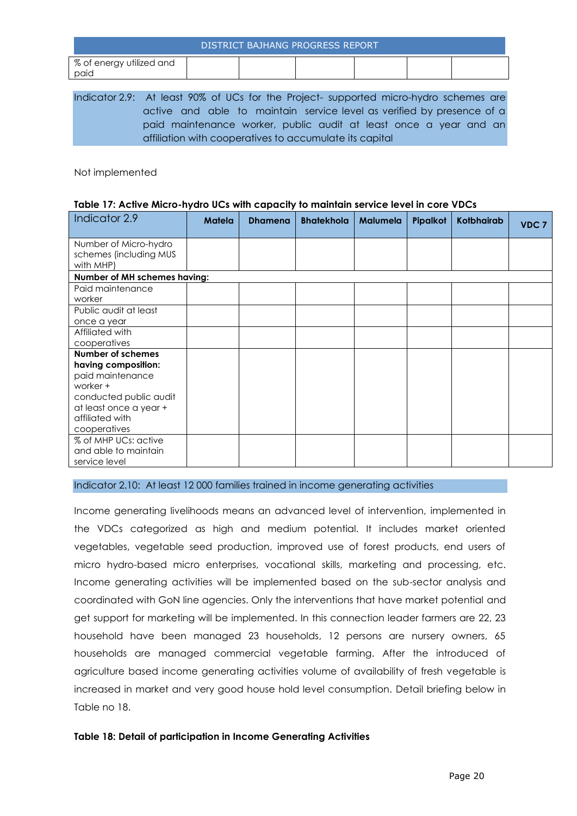|                                  |  | DISTRICT BAJHANG PROGRESS REPORT |  |  |
|----------------------------------|--|----------------------------------|--|--|
| % of energy utilized and<br>paid |  |                                  |  |  |
|                                  |  |                                  |  |  |

Indicator 2.9: At least 90% of UCs for the Project- supported micro-hydro schemes are active and able to maintain service level as verified by presence of a paid maintenance worker, public audit at least once a year and an affiliation with cooperatives to accumulate its capital

Not implemented

#### **Table 17: Active Micro-hydro UCs with capacity to maintain service level in core VDCs**

| Indicator 2.9                                                                                                                                                          | <b>Matela</b> | <b>Dhamena</b> | <b>Bhatekhola</b> | <b>Malumela</b> | Pipalkot | <b>Kotbhairab</b> | VDC <sub>7</sub> |
|------------------------------------------------------------------------------------------------------------------------------------------------------------------------|---------------|----------------|-------------------|-----------------|----------|-------------------|------------------|
| Number of Micro-hydro<br>schemes (including MUS<br>with MHP)                                                                                                           |               |                |                   |                 |          |                   |                  |
| Number of MH schemes having:                                                                                                                                           |               |                |                   |                 |          |                   |                  |
| Paid maintenance<br>worker                                                                                                                                             |               |                |                   |                 |          |                   |                  |
| Public audit at least<br>once a year                                                                                                                                   |               |                |                   |                 |          |                   |                  |
| Affiliated with<br>cooperatives                                                                                                                                        |               |                |                   |                 |          |                   |                  |
| <b>Number of schemes</b><br>having composition:<br>paid maintenance<br>worker +<br>conducted public audit<br>at least once a year +<br>affiliated with<br>cooperatives |               |                |                   |                 |          |                   |                  |
| % of MHP UCs: active<br>and able to maintain<br>service level                                                                                                          |               |                |                   |                 |          |                   |                  |

Indicator 2.10: At least 12 000 families trained in income generating activities

Income generating livelihoods means an advanced level of intervention, implemented in the VDCs categorized as high and medium potential. It includes market oriented vegetables, vegetable seed production, improved use of forest products, end users of micro hydro-based micro enterprises, vocational skills, marketing and processing, etc. Income generating activities will be implemented based on the sub-sector analysis and coordinated with GoN line agencies. Only the interventions that have market potential and get support for marketing will be implemented. In this connection leader farmers are 22, 23 household have been managed 23 households, 12 persons are nursery owners, 65 households are managed commercial vegetable farming. After the introduced of agriculture based income generating activities volume of availability of fresh vegetable is increased in market and very good house hold level consumption. Detail briefing below in Table no 18.

#### **Table 18: Detail of participation in Income Generating Activities**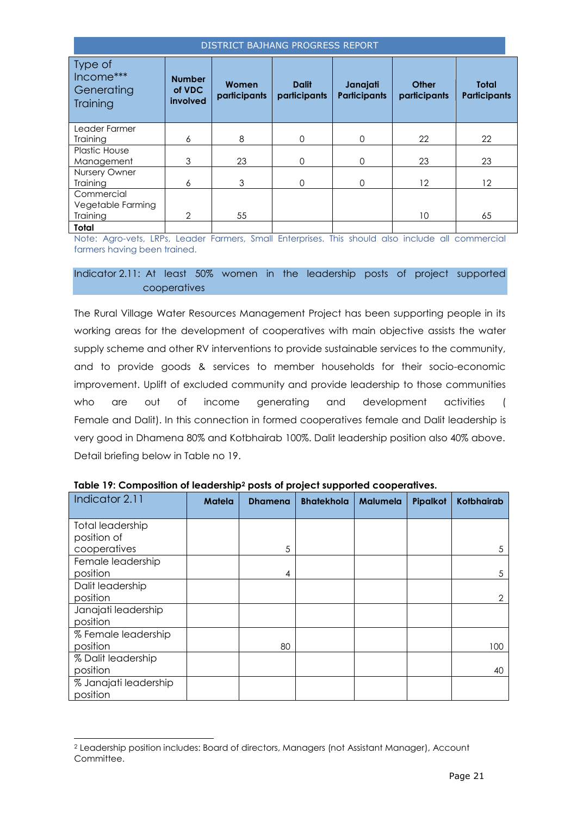| Type of<br>Income***<br>Generating<br>Training | <b>Number</b><br>of VDC<br>involved | Women<br>participants | <b>Dalit</b><br>participants | Janajati<br><b>Participants</b> | <b>Other</b><br>participants | <b>Total</b><br><b>Participants</b> |
|------------------------------------------------|-------------------------------------|-----------------------|------------------------------|---------------------------------|------------------------------|-------------------------------------|
| Leader Farmer                                  |                                     |                       |                              |                                 |                              |                                     |
| Training                                       | 6                                   | 8                     | $\Omega$                     | $\Omega$                        | 22                           | 22                                  |
| <b>Plastic House</b>                           |                                     |                       |                              |                                 |                              |                                     |
| Management                                     | 3                                   | 23                    | $\Omega$                     | $\Omega$                        | 23                           | 23                                  |
| Nursery Owner                                  |                                     |                       |                              |                                 |                              |                                     |
| Training                                       | 6                                   | 3                     | $\Omega$                     | $\Omega$                        | 12                           | 12                                  |
| Commercial                                     |                                     |                       |                              |                                 |                              |                                     |
| Vegetable Farming                              |                                     |                       |                              |                                 |                              |                                     |
| Training                                       | $\overline{2}$                      | 55                    |                              |                                 | 10                           | 65                                  |
| Total                                          |                                     |                       |                              |                                 |                              |                                     |

Note: Agro-vets, LRPs, Leader Farmers, Small Enterprises. This should also include all commercial farmers having been trained.

#### Indicator 2.11: At least 50% women in the leadership posts of project supported cooperatives

The Rural Village Water Resources Management Project has been supporting people in its working areas for the development of cooperatives with main objective assists the water supply scheme and other RV interventions to provide sustainable services to the community, and to provide goods & services to member households for their socio-economic improvement. Uplift of excluded community and provide leadership to those communities who are out of income generating and development activities ( Female and Dalit). In this connection in formed cooperatives female and Dalit leadership is very good in Dhamena 80% and Kotbhairab 100%. Dalit leadership position also 40% above. Detail briefing below in Table no 19.

| Indicator 2.11          | <b>Matela</b> | <b>Dhamena</b> | <b>Bhatekhola</b> | <b>Malumela</b> | Pipalkot | <b>Kotbhairab</b> |
|-------------------------|---------------|----------------|-------------------|-----------------|----------|-------------------|
|                         |               |                |                   |                 |          |                   |
| <b>Total leadership</b> |               |                |                   |                 |          |                   |
| position of             |               |                |                   |                 |          |                   |
| cooperatives            |               | 5              |                   |                 |          | 5                 |
| Female leadership       |               |                |                   |                 |          |                   |
| position                |               | 4              |                   |                 |          | 5                 |
| Dalit leadership        |               |                |                   |                 |          |                   |
| position                |               |                |                   |                 |          | 2                 |
| Janajati leadership     |               |                |                   |                 |          |                   |
| position                |               |                |                   |                 |          |                   |
| % Female leadership     |               |                |                   |                 |          |                   |
| position                |               | 80             |                   |                 |          | 100               |
| % Dalit leadership      |               |                |                   |                 |          |                   |
| position                |               |                |                   |                 |          | 40                |
| % Janajati leadership   |               |                |                   |                 |          |                   |
| position                |               |                |                   |                 |          |                   |

**Table 19: Composition of leadership<sup>2</sup> posts of project supported cooperatives.**

l

<sup>2</sup> Leadership position includes: Board of directors, Managers (not Assistant Manager), Account Committee.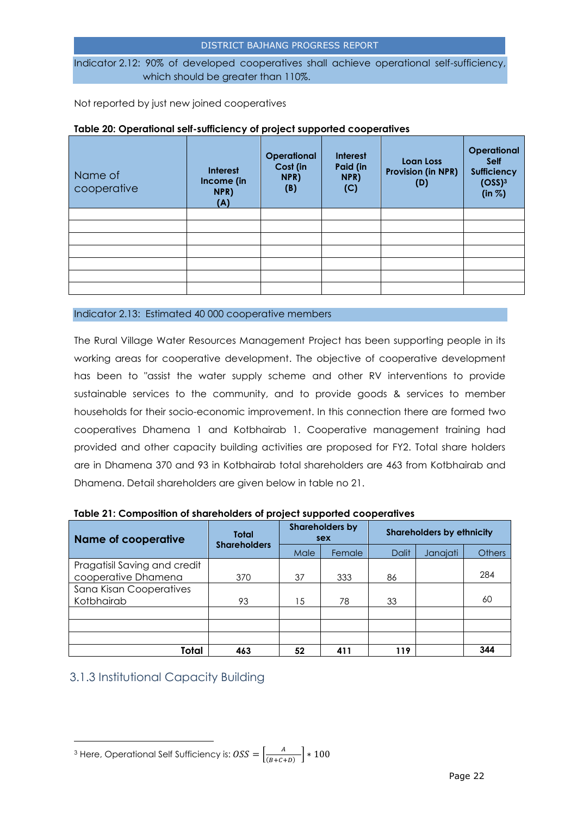Indicator 2.12: 90% of developed cooperatives shall achieve operational self-sufficiency, which should be greater than 110%.

Not reported by just new joined cooperatives

| . <b>.</b>             |                                              |                                               |                                     |                                               |                                                                                  |
|------------------------|----------------------------------------------|-----------------------------------------------|-------------------------------------|-----------------------------------------------|----------------------------------------------------------------------------------|
| Name of<br>cooperative | <b>Interest</b><br>Income (in<br>NPR)<br>(A) | <b>Operational</b><br>Cost (in<br>NPR)<br>(B) | Interest<br>Paid (in<br>NPR)<br>(C) | Loan Loss<br><b>Provision (in NPR)</b><br>(D) | Operational<br><b>Self</b><br><b>Sufficiency</b><br>(OSS) <sup>3</sup><br>(in %) |
|                        |                                              |                                               |                                     |                                               |                                                                                  |
|                        |                                              |                                               |                                     |                                               |                                                                                  |
|                        |                                              |                                               |                                     |                                               |                                                                                  |
|                        |                                              |                                               |                                     |                                               |                                                                                  |
|                        |                                              |                                               |                                     |                                               |                                                                                  |
|                        |                                              |                                               |                                     |                                               |                                                                                  |
|                        |                                              |                                               |                                     |                                               |                                                                                  |

#### **Table 20: Operational self-sufficiency of project supported cooperatives**

Indicator 2.13: Estimated 40 000 cooperative members

The Rural Village Water Resources Management Project has been supporting people in its working areas for cooperative development. The objective of cooperative development has been to "assist the water supply scheme and other RV interventions to provide sustainable services to the community, and to provide goods & services to member households for their socio-economic improvement. In this connection there are formed two cooperatives Dhamena 1 and Kotbhairab 1. Cooperative management training had provided and other capacity building activities are proposed for FY2. Total share holders are in Dhamena 370 and 93 in Kotbhairab total shareholders are 463 from Kotbhairab and Dhamena. Detail shareholders are given below in table no 21.

| <b>Name of cooperative</b>   | <b>Total</b>        | <b>Shareholders by</b><br>sex |        | <b>Shareholders by ethnicity</b> |          |               |
|------------------------------|---------------------|-------------------------------|--------|----------------------------------|----------|---------------|
|                              | <b>Shareholders</b> | Male                          | Female | <b>Dalit</b>                     | Janajati | <b>Others</b> |
| Pragatisil Saving and credit |                     |                               |        |                                  |          |               |
| cooperative Dhamena          | 370                 | 37                            | 333    | 86                               |          | 284           |
| Sana Kisan Cooperatives      |                     |                               |        |                                  |          |               |
| Kotbhairab                   | 93                  | 15                            | 78     | 33                               |          | 60            |
|                              |                     |                               |        |                                  |          |               |
|                              |                     |                               |        |                                  |          |               |
|                              |                     |                               |        |                                  |          |               |
| Total                        | 463                 | 52                            | 411    | 119                              |          | 344           |

| Table 21: Composition of shareholders of project supported cooperatives |  |
|-------------------------------------------------------------------------|--|
|-------------------------------------------------------------------------|--|

## <span id="page-21-0"></span>3.1.3 Institutional Capacity Building

l

<sup>&</sup>lt;sup>3</sup> Here, Operational Self Sufficiency is:  $\textit{OSS} = \left[\frac{A}{\text{Cov}^2}\right]$  $\frac{A}{(B+C+D)}$  \* 100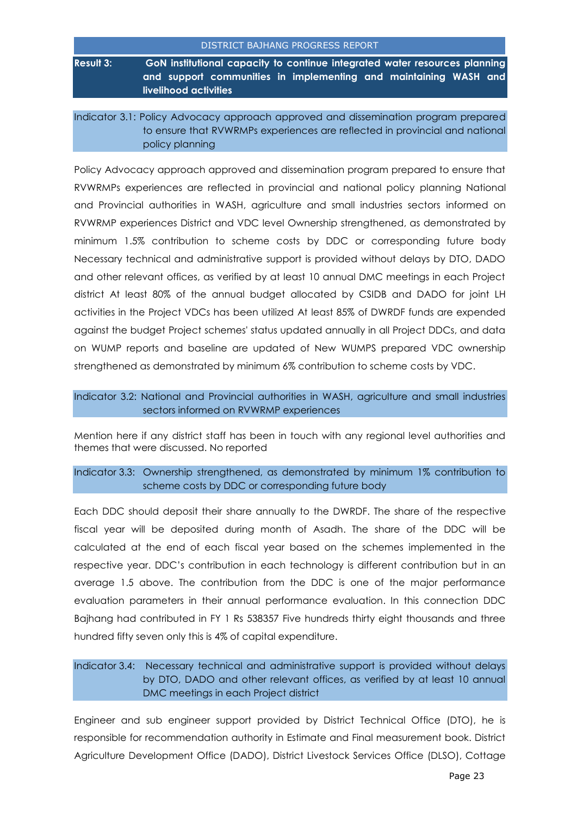|             | <u>DISTINICT DATIANU FINOUNESS INFLUINT</u>                                               |
|-------------|-------------------------------------------------------------------------------------------|
| Result 3: I | GoN institutional capacity to continue integrated water resources planning                |
|             | and support communities in implementing and maintaining WASH and<br>livelihood activities |

Indicator 3.1: Policy Advocacy approach approved and dissemination program prepared to ensure that RVWRMPs experiences are reflected in provincial and national policy planning

Policy Advocacy approach approved and dissemination program prepared to ensure that RVWRMPs experiences are reflected in provincial and national policy planning National and Provincial authorities in WASH, agriculture and small industries sectors informed on RVWRMP experiences District and VDC level Ownership strengthened, as demonstrated by minimum 1.5% contribution to scheme costs by DDC or corresponding future body Necessary technical and administrative support is provided without delays by DTO, DADO and other relevant offices, as verified by at least 10 annual DMC meetings in each Project district At least 80% of the annual budget allocated by CSIDB and DADO for joint LH activities in the Project VDCs has been utilized At least 85% of DWRDF funds are expended against the budget Project schemes' status updated annually in all Project DDCs, and data on WUMP reports and baseline are updated of New WUMPS prepared VDC ownership strengthened as demonstrated by minimum 6% contribution to scheme costs by VDC.

Indicator 3.2: National and Provincial authorities in WASH, agriculture and small industries sectors informed on RVWRMP experiences

Mention here if any district staff has been in touch with any regional level authorities and themes that were discussed. No reported

Indicator 3.3: Ownership strengthened, as demonstrated by minimum 1% contribution to scheme costs by DDC or corresponding future body

Each DDC should deposit their share annually to the DWRDF. The share of the respective fiscal year will be deposited during month of Asadh. The share of the DDC will be calculated at the end of each fiscal year based on the schemes implemented in the respective year. DDC's contribution in each technology is different contribution but in an average 1.5 above. The contribution from the DDC is one of the major performance evaluation parameters in their annual performance evaluation. In this connection DDC Bajhang had contributed in FY 1 Rs 538357 Five hundreds thirty eight thousands and three hundred fifty seven only this is 4% of capital expenditure.

## Indicator 3.4: Necessary technical and administrative support is provided without delays by DTO, DADO and other relevant offices, as verified by at least 10 annual DMC meetings in each Project district

Engineer and sub engineer support provided by District Technical Office (DTO), he is responsible for recommendation authority in Estimate and Final measurement book. District Agriculture Development Office (DADO), District Livestock Services Office (DLSO), Cottage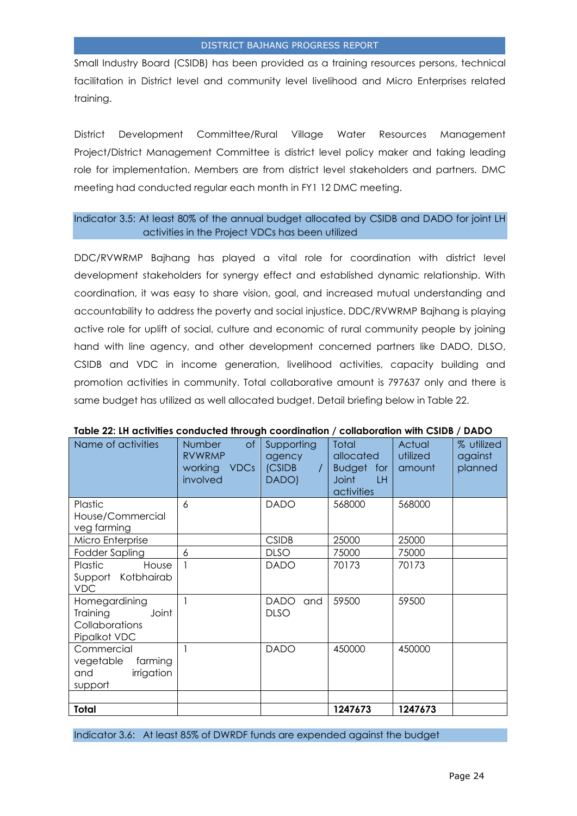Small Industry Board (CSIDB) has been provided as a training resources persons, technical facilitation in District level and community level livelihood and Micro Enterprises related training.

District Development Committee/Rural Village Water Resources Management Project/District Management Committee is district level policy maker and taking leading role for implementation. Members are from district level stakeholders and partners. DMC meeting had conducted regular each month in FY1 12 DMC meeting.

#### Indicator 3.5: At least 80% of the annual budget allocated by CSIDB and DADO for joint LH activities in the Project VDCs has been utilized

DDC/RVWRMP Bajhang has played a vital role for coordination with district level development stakeholders for synergy effect and established dynamic relationship. With coordination, it was easy to share vision, goal, and increased mutual understanding and accountability to address the poverty and social injustice. DDC/RVWRMP Bajhang is playing active role for uplift of social, culture and economic of rural community people by joining hand with line agency, and other development concerned partners like DADO, DLSO, CSIDB and VDC in income generation, livelihood activities, capacity building and promotion activities in community. Total collaborative amount is 797637 only and there is same budget has utilized as well allocated budget. Detail briefing below in Table 22.

| Name of activities                                                   | <b>of</b><br>Number<br><b>RVWRMP</b><br>working<br><b>VDCs</b><br>involved | Supporting<br>agency<br>(CSIDB<br>DADO) | Total<br>allocated<br><b>Budget</b><br>for<br><b>Joint</b><br>LH.<br>activities | Actual<br>utilized<br>amount | % utilized<br>against<br>planned |
|----------------------------------------------------------------------|----------------------------------------------------------------------------|-----------------------------------------|---------------------------------------------------------------------------------|------------------------------|----------------------------------|
| Plastic                                                              | 6                                                                          | <b>DADO</b>                             | 568000                                                                          | 568000                       |                                  |
| House/Commercial<br>veg farming                                      |                                                                            |                                         |                                                                                 |                              |                                  |
| Micro Enterprise                                                     |                                                                            | <b>CSIDB</b>                            | 25000                                                                           | 25000                        |                                  |
| Fodder Sapling                                                       | 6                                                                          | <b>DLSO</b>                             | 75000                                                                           | 75000                        |                                  |
| Plastic<br>House<br>Support Kotbhairab<br><b>VDC</b>                 |                                                                            | <b>DADO</b>                             | 70173                                                                           | 70173                        |                                  |
| Homegardining<br>Training<br>Joint<br>Collaborations<br>Pipalkot VDC |                                                                            | <b>DADO</b><br>and<br><b>DLSO</b>       | 59500                                                                           | 59500                        |                                  |
| Commercial<br>farming<br>vegetable<br>irrigation<br>and<br>support   |                                                                            | <b>DADO</b>                             | 450000                                                                          | 450000                       |                                  |
|                                                                      |                                                                            |                                         |                                                                                 |                              |                                  |
| Total                                                                |                                                                            |                                         | 1247673                                                                         | 1247673                      |                                  |

#### **Table 22: LH activities conducted through coordination / collaboration with CSIDB / DADO**

Indicator 3.6: At least 85% of DWRDF funds are expended against the budget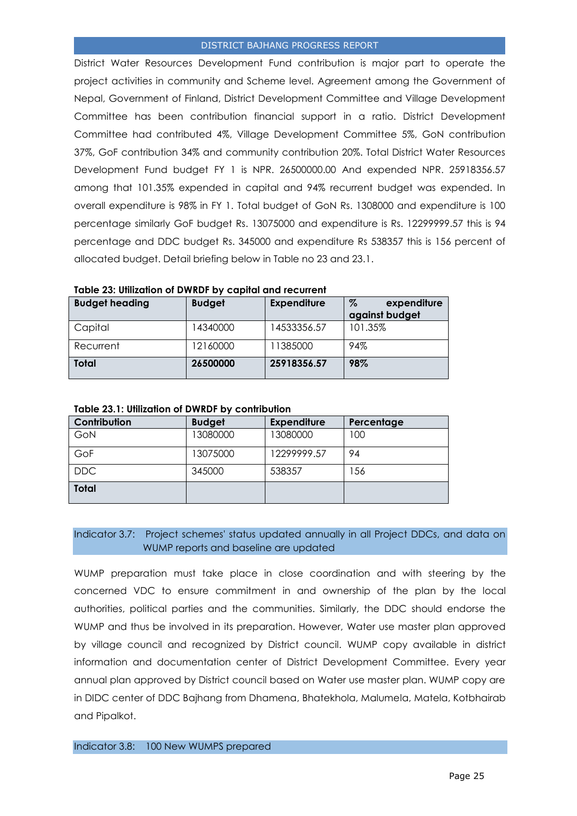District Water Resources Development Fund contribution is major part to operate the project activities in community and Scheme level. Agreement among the Government of Nepal, Government of Finland, District Development Committee and Village Development Committee has been contribution financial support in a ratio. District Development Committee had contributed 4%, Village Development Committee 5%, GoN contribution 37%, GoF contribution 34% and community contribution 20%. Total District Water Resources Development Fund budget FY 1 is NPR. 26500000.00 And expended NPR. 25918356.57 among that 101.35% expended in capital and 94% recurrent budget was expended. In overall expenditure is 98% in FY 1. Total budget of GoN Rs. 1308000 and expenditure is 100 percentage similarly GoF budget Rs. 13075000 and expenditure is Rs. 12299999.57 this is 94 percentage and DDC budget Rs. 345000 and expenditure Rs 538357 this is 156 percent of allocated budget. Detail briefing below in Table no 23 and 23.1.

| <b>Budget heading</b> | <b>Budget</b> | <b>Expenditure</b> | %<br>expenditure<br>against budget |
|-----------------------|---------------|--------------------|------------------------------------|
| Capital               | 14340000      | 14533356.57        | 101.35%                            |
| Recurrent             | 12160000      | 11385000           | 94%                                |
| Total                 | 26500000      | 25918356.57        | 98%                                |

#### **Table 23.1: Utilization of DWRDF by contribution**

| Contribution | <b>Budget</b> | <b>Expenditure</b> | Percentage |
|--------------|---------------|--------------------|------------|
| GoN          | 13080000      | 13080000           | 100        |
| GoF          | 13075000      | 12299999.57        | 94         |
| <b>DDC</b>   | 345000        | 538357             | 156        |
| <b>Total</b> |               |                    |            |

#### Indicator 3.7: Project schemes' status updated annually in all Project DDCs, and data on WUMP reports and baseline are updated

WUMP preparation must take place in close coordination and with steering by the concerned VDC to ensure commitment in and ownership of the plan by the local authorities, political parties and the communities. Similarly, the DDC should endorse the WUMP and thus be involved in its preparation. However, Water use master plan approved by village council and recognized by District council. WUMP copy available in district information and documentation center of District Development Committee. Every year annual plan approved by District council based on Water use master plan. WUMP copy are in DIDC center of DDC Bajhang from Dhamena, Bhatekhola, Malumela, Matela, Kotbhairab and Pipalkot.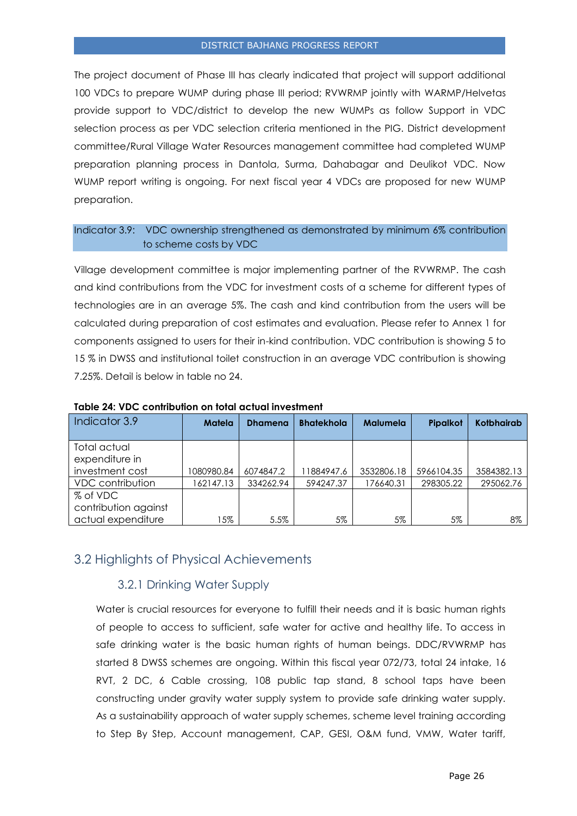The project document of Phase III has clearly indicated that project will support additional 100 VDCs to prepare WUMP during phase III period; RVWRMP jointly with WARMP/Helvetas provide support to VDC/district to develop the new WUMPs as follow Support in VDC selection process as per VDC selection criteria mentioned in the PIG. District development committee/Rural Village Water Resources management committee had completed WUMP preparation planning process in Dantola, Surma, Dahabagar and Deulikot VDC. Now WUMP report writing is ongoing. For next fiscal year 4 VDCs are proposed for new WUMP preparation.

## Indicator 3.9: VDC ownership strengthened as demonstrated by minimum 6% contribution to scheme costs by VDC

Village development committee is major implementing partner of the RVWRMP. The cash and kind contributions from the VDC for investment costs of a scheme for different types of technologies are in an average 5%. The cash and kind contribution from the users will be calculated during preparation of cost estimates and evaluation. Please refer to Annex 1 for components assigned to users for their in-kind contribution. VDC contribution is showing 5 to 15 % in DWSS and institutional toilet construction in an average VDC contribution is showing 7.25%. Detail is below in table no 24.

| Indicator 3.9           | Matela     | <b>Dhamena</b> | <b>Bhatekhola</b> | <b>Malumela</b> | <b>Pipalkot</b> | <b>Kotbhairab</b> |
|-------------------------|------------|----------------|-------------------|-----------------|-----------------|-------------------|
|                         |            |                |                   |                 |                 |                   |
| Total actual            |            |                |                   |                 |                 |                   |
| expenditure in          |            |                |                   |                 |                 |                   |
| investment cost         | 1080980.84 | 6074847.2      | 11884947.6        | 3532806.18      | 5966104.35      | 3584382.13        |
| <b>VDC</b> contribution | 162147.13  | 334262.94      | 594247.37         | 176640.31       | 298305.22       | 295062.76         |
| % of VDC                |            |                |                   |                 |                 |                   |
| contribution against    |            |                |                   |                 |                 |                   |
| actual expenditure      | 15%        | 5.5%           | 5%                | 5%              | 5%              | 8%                |

**Table 24: VDC contribution on total actual investment**

## <span id="page-25-1"></span><span id="page-25-0"></span>3.2 Highlights of Physical Achievements

## 3.2.1 Drinking Water Supply

Water is crucial resources for everyone to fulfill their needs and it is basic human rights of people to access to sufficient, safe water for active and healthy life. To access in safe drinking water is the basic human rights of human beings. DDC/RVWRMP has started 8 DWSS schemes are ongoing. Within this fiscal year 072/73, total 24 intake, 16 RVT, 2 DC, 6 Cable crossing, 108 public tap stand, 8 school taps have been constructing under gravity water supply system to provide safe drinking water supply. As a sustainability approach of water supply schemes, scheme level training according to Step By Step, Account management, CAP, GESI, O&M fund, VMW, Water tariff,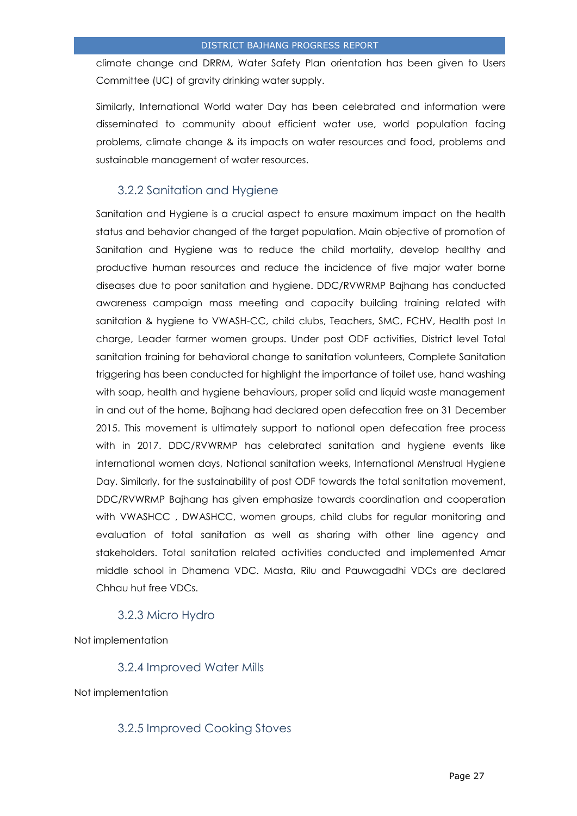climate change and DRRM, Water Safety Plan orientation has been given to Users Committee (UC) of gravity drinking water supply.

Similarly, International World water Day has been celebrated and information were disseminated to community about efficient water use, world population facing problems, climate change & its impacts on water resources and food, problems and sustainable management of water resources.

## 3.2.2 Sanitation and Hygiene

<span id="page-26-0"></span>Sanitation and Hygiene is a crucial aspect to ensure maximum impact on the health status and behavior changed of the target population. Main objective of promotion of Sanitation and Hygiene was to reduce the child mortality, develop healthy and productive human resources and reduce the incidence of five major water borne diseases due to poor sanitation and hygiene. DDC/RVWRMP Bajhang has conducted awareness campaign mass meeting and capacity building training related with sanitation & hygiene to VWASH-CC, child clubs, Teachers, SMC, FCHV, Health post In charge, Leader farmer women groups. Under post ODF activities, District level Total sanitation training for behavioral change to sanitation volunteers, Complete Sanitation triggering has been conducted for highlight the importance of toilet use, hand washing with soap, health and hygiene behaviours, proper solid and liquid waste management in and out of the home, Bajhang had declared open defecation free on 31 December 2015. This movement is ultimately support to national open defecation free process with in 2017. DDC/RVWRMP has celebrated sanitation and hygiene events like international women days, National sanitation weeks, International Menstrual Hygiene Day. Similarly, for the sustainability of post ODF towards the total sanitation movement, DDC/RVWRMP Bajhang has given emphasize towards coordination and cooperation with VWASHCC , DWASHCC, women groups, child clubs for regular monitoring and evaluation of total sanitation as well as sharing with other line agency and stakeholders. Total sanitation related activities conducted and implemented Amar middle school in Dhamena VDC. Masta, Rilu and Pauwagadhi VDCs are declared Chhau hut free VDCs.

## 3.2.3 Micro Hydro

<span id="page-26-2"></span><span id="page-26-1"></span>Not implementation

#### 3.2.4 Improved Water Mills

<span id="page-26-3"></span>Not implementation

## 3.2.5 Improved Cooking Stoves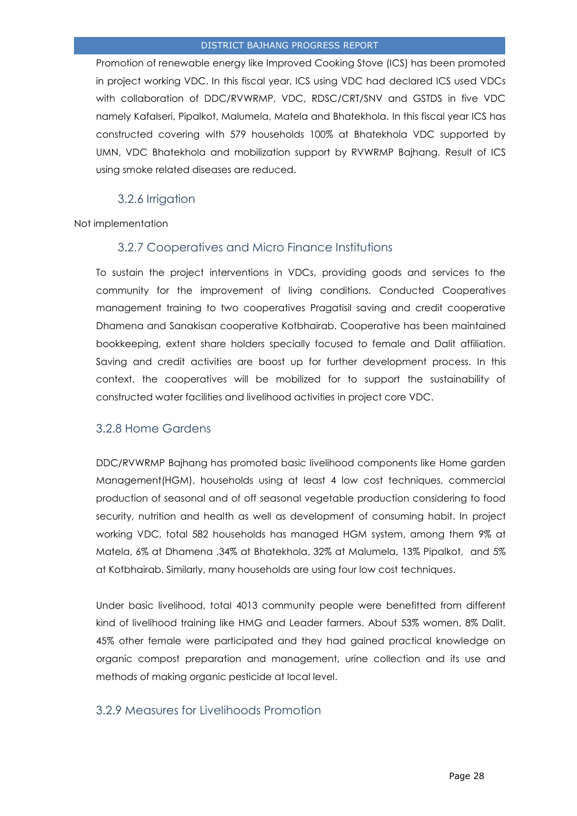Promotion of renewable energy like Improved Cooking Stove (ICS) has been promoted in project working VDC. In this fiscal year, ICS using VDC had declared ICS used VDCs with collaboration of DDC/RVWRMP, VDC, RDSC/CRT/SNV and GSTDS in five VDC namely Kafalseri, Pipalkot, Malumela, Matela and Bhatekhola. In this fiscal year ICS has constructed covering with 579 households 100% at Bhatekhola VDC supported by UMN, VDC Bhatekhola and mobilization support by RVWRMP Bajhang. Result of ICS using smoke related diseases are reduced.

## 3.2.6 Irrigation

<span id="page-27-1"></span><span id="page-27-0"></span>Not implementation

## 3.2.7 Cooperatives and Micro Finance Institutions

To sustain the project interventions in VDCs, providing goods and services to the community for the improvement of living conditions. Conducted Cooperatives management training to two cooperatives Pragatisil saving and credit cooperative Dhamena and Sanakisan cooperative Kotbhairab. Cooperative has been maintained bookkeeping, extent share holders specially focused to female and Dalit affiliation. Saving and credit activities are boost up for further development process. In this context, the cooperatives will be mobilized for to support the sustainability of constructed water facilities and livelihood activities in project core VDC.

## <span id="page-27-2"></span>3.2.8 Home Gardens

DDC/RVWRMP Bajhang has promoted basic livelihood components like Home garden Management(HGM), households using at least 4 low cost techniques, commercial production of seasonal and of off seasonal vegetable production considering to food security, nutrition and health as well as development of consuming habit. In project working VDC, total 582 households has managed HGM system, among them 9% at Matela, 6% at Dhamena ,34% at Bhatekhola, 32% at Malumela, 13% Pipalkot, and 5% at Kotbhairab. Similarly, many households are using four low cost techniques.

Under basic livelihood, total 4013 community people were benefitted from different kind of livelihood training like HMG and Leader farmers. About 53% women, 8% Dalit, 45% other female were participated and they had gained practical knowledge on organic compost preparation and management, urine collection and its use and methods of making organic pesticide at local level.

## <span id="page-27-3"></span>3.2.9 Measures for Livelihoods Promotion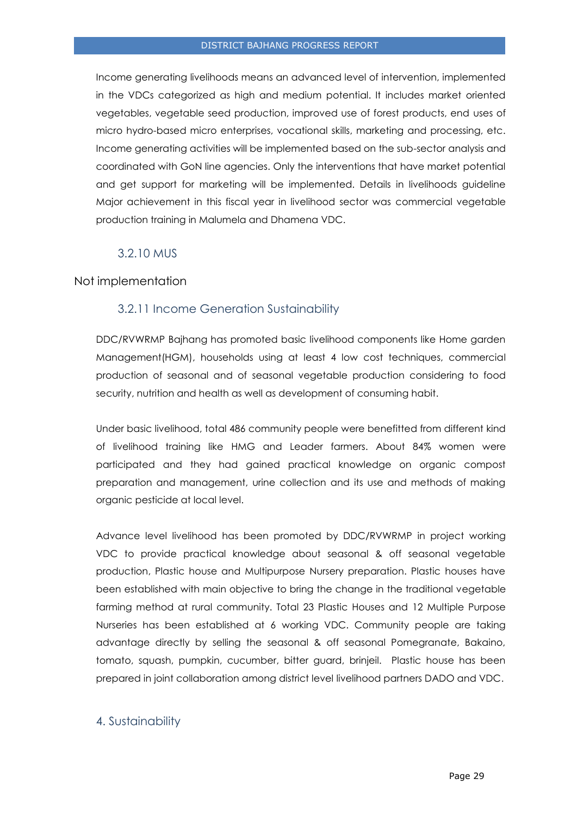Income generating livelihoods means an advanced level of intervention, implemented in the VDCs categorized as high and medium potential. It includes market oriented vegetables, vegetable seed production, improved use of forest products, end uses of micro hydro-based micro enterprises, vocational skills, marketing and processing, etc. Income generating activities will be implemented based on the sub-sector analysis and coordinated with GoN line agencies. Only the interventions that have market potential and get support for marketing will be implemented. Details in livelihoods guideline Major achievement in this fiscal year in livelihood sector was commercial vegetable production training in Malumela and Dhamena VDC.

## <span id="page-28-1"></span>3.2.10 MUS

#### <span id="page-28-0"></span>Not implementation

## 3.2.11 Income Generation Sustainability

DDC/RVWRMP Bajhang has promoted basic livelihood components like Home garden Management(HGM), households using at least 4 low cost techniques, commercial production of seasonal and of seasonal vegetable production considering to food security, nutrition and health as well as development of consuming habit.

Under basic livelihood, total 486 community people were benefitted from different kind of livelihood training like HMG and Leader farmers. About 84% women were participated and they had gained practical knowledge on organic compost preparation and management, urine collection and its use and methods of making organic pesticide at local level.

Advance level livelihood has been promoted by DDC/RVWRMP in project working VDC to provide practical knowledge about seasonal & off seasonal vegetable production, Plastic house and Multipurpose Nursery preparation. Plastic houses have been established with main objective to bring the change in the traditional vegetable farming method at rural community. Total 23 Plastic Houses and 12 Multiple Purpose Nurseries has been established at 6 working VDC. Community people are taking advantage directly by selling the seasonal & off seasonal Pomegranate, Bakaino, tomato, squash, pumpkin, cucumber, bitter guard, brinjeil. Plastic house has been prepared in joint collaboration among district level livelihood partners DADO and VDC.

#### <span id="page-28-2"></span>4. Sustainability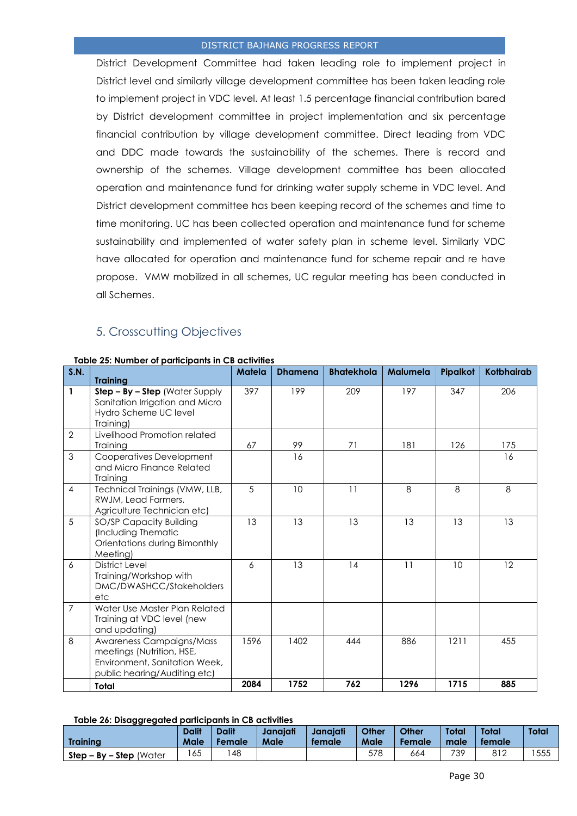District Development Committee had taken leading role to implement project in District level and similarly village development committee has been taken leading role to implement project in VDC level. At least 1.5 percentage financial contribution bared by District development committee in project implementation and six percentage financial contribution by village development committee. Direct leading from VDC and DDC made towards the sustainability of the schemes. There is record and ownership of the schemes. Village development committee has been allocated operation and maintenance fund for drinking water supply scheme in VDC level. And District development committee has been keeping record of the schemes and time to time monitoring. UC has been collected operation and maintenance fund for scheme sustainability and implemented of water safety plan in scheme level. Similarly VDC have allocated for operation and maintenance fund for scheme repair and re have propose. VMW mobilized in all schemes, UC regular meeting has been conducted in all Schemes.

## 5. Crosscutting Objectives

| <b>S.N.</b>    | <b>Training</b>                                                                                                        | <b>Matela</b> | <b>Dhamena</b> | <b>Bhatekhola</b> | <b>Malumela</b> | Pipalkot | <b>Kotbhairab</b> |
|----------------|------------------------------------------------------------------------------------------------------------------------|---------------|----------------|-------------------|-----------------|----------|-------------------|
| $\mathbf{1}$   | Step - By - Step (Water Supply<br>Sanitation Irrigation and Micro<br>Hydro Scheme UC level<br>Training)                | 397           | 199            | 209               | 197             | 347      | 206               |
| $\overline{2}$ | Livelihood Promotion related<br>Training                                                                               | 67            | 99             | 71                | 181             | 126      | 175               |
| 3              | Cooperatives Development<br>and Micro Finance Related<br>Training                                                      |               | 16             |                   |                 |          | 16                |
| $\overline{4}$ | Technical Trainings (VMW, LLB,<br>RWJM, Lead Farmers,<br>Agriculture Technician etc)                                   | 5             | 10             | 11                | 8               | 8        | 8                 |
| 5              | SO/SP Capacity Building<br>(Including Thematic<br>Orientations during Bimonthly<br>Meeting)                            | 13            | 13             | 13                | 13              | 13       | 13                |
| 6              | <b>District Level</b><br>Training/Workshop with<br>DMC/DWASHCC/Stakeholders<br>etc                                     | 6             | 13             | 14                | 11              | 10       | 12                |
| $\overline{7}$ | Water Use Master Plan Related<br>Training at VDC level (new<br>and updating)                                           |               |                |                   |                 |          |                   |
| 8              | Awareness Campaigns/Mass<br>meetings (Nutrition, HSE,<br>Environment, Sanitation Week,<br>public hearing/Auditing etc) | 1596          | 1402           | 444               | 886             | 1211     | 455               |
|                | Total                                                                                                                  | 2084          | 1752           | 762               | 1296            | 1715     | 885               |

#### **Table 25: Number of participants in CB activities**

#### **Table 26: Disaggregated participants in CB activities**

| - ສສ - ສ - - -             | <b>Dalit</b> | <b>Dalit</b>  | Janaiati | Janaiati | <b>Other</b> | Other  | Total | Total  | Total |
|----------------------------|--------------|---------------|----------|----------|--------------|--------|-------|--------|-------|
| Trainina                   | Male         | <b>Female</b> | Male     | female   | Male         | Female | male  | female |       |
| $Step - By - Step (Water)$ | 165          | 48            |          |          | 578          | 664    | 739   | 812    | 555   |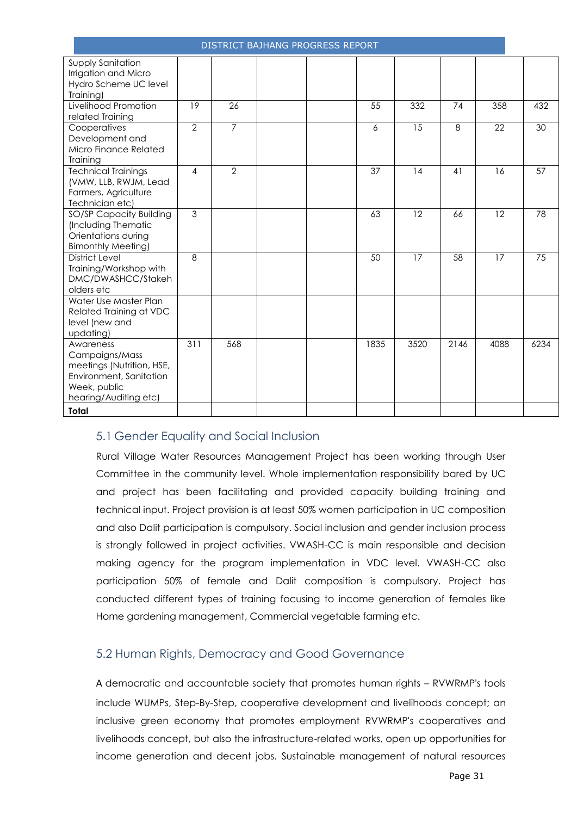| <b>DISTRICT BAJHANG PROGRESS REPORT</b>                                                                                      |                |                |  |  |      |      |      |      |      |
|------------------------------------------------------------------------------------------------------------------------------|----------------|----------------|--|--|------|------|------|------|------|
| Supply Sanitation<br>Irrigation and Micro<br>Hydro Scheme UC level<br>Training)                                              |                |                |  |  |      |      |      |      |      |
| Livelihood Promotion<br>related Training                                                                                     | 19             | 26             |  |  | 55   | 332  | 74   | 358  | 432  |
| Cooperatives<br>Development and<br>Micro Finance Related<br><b>Training</b>                                                  | $\overline{2}$ | $\overline{7}$ |  |  | 6    | 15   | 8    | 22   | 30   |
| <b>Technical Trainings</b><br>(VMW, LLB, RWJM, Lead<br>Farmers, Agriculture<br>Technician etc)                               | 4              | $\overline{2}$ |  |  | 37   | 14   | 41   | 16   | 57   |
| <b>SO/SP Capacity Building</b><br>(Including Thematic<br>Orientations during<br><b>Bimonthly Meeting)</b>                    | 3              |                |  |  | 63   | 12   | 66   | 12   | 78   |
| <b>District Level</b><br>Training/Workshop with<br>DMC/DWASHCC/Stakeh<br>olders etc                                          | $\mathcal{B}$  |                |  |  | 50   | 17   | 58   | 17   | 75   |
| Water Use Master Plan<br>Related Training at VDC<br>level (new and<br>updating)                                              |                |                |  |  |      |      |      |      |      |
| Awareness<br>Campaigns/Mass<br>meetings (Nutrition, HSE,<br>Environment, Sanitation<br>Week, public<br>hearing/Auditing etc) | 311            | 568            |  |  | 1835 | 3520 | 2146 | 4088 | 6234 |
| Total                                                                                                                        |                |                |  |  |      |      |      |      |      |

# <span id="page-30-0"></span>5.1 Gender Equality and Social Inclusion

Rural Village Water Resources Management Project has been working through User Committee in the community level. Whole implementation responsibility bared by UC and project has been facilitating and provided capacity building training and technical input. Project provision is at least 50% women participation in UC composition and also Dalit participation is compulsory. Social inclusion and gender inclusion process is strongly followed in project activities. VWASH-CC is main responsible and decision making agency for the program implementation in VDC level. VWASH-CC also participation 50% of female and Dalit composition is compulsory. Project has conducted different types of training focusing to income generation of females like Home gardening management, Commercial vegetable farming etc.

## <span id="page-30-1"></span>5.2 Human Rights, Democracy and Good Governance

A democratic and accountable society that promotes human rights – RVWRMP's tools include WUMPs, Step-By-Step, cooperative development and livelihoods concept; an inclusive green economy that promotes employment RVWRMP's cooperatives and livelihoods concept, but also the infrastructure-related works, open up opportunities for income generation and decent jobs. Sustainable management of natural resources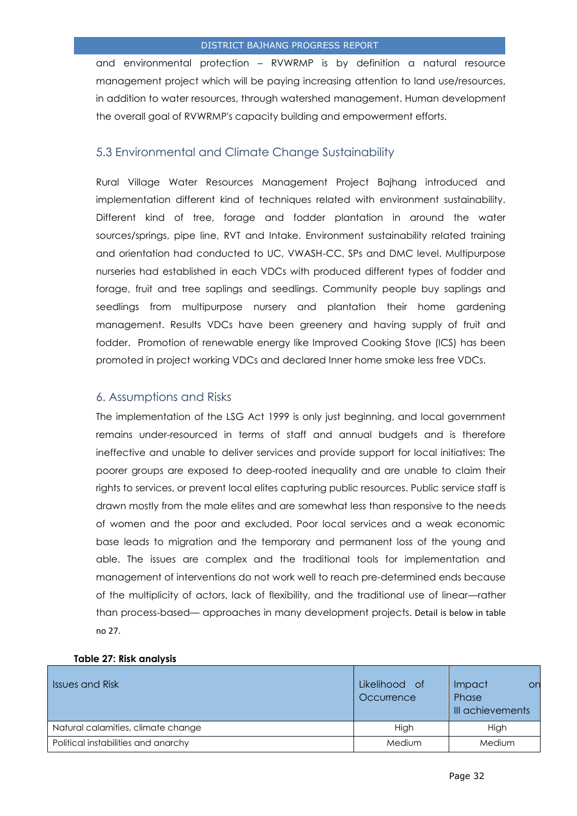and environmental protection – RVWRMP is by definition a natural resource management project which will be paying increasing attention to land use/resources, in addition to water resources, through watershed management. Human development the overall goal of RVWRMP's capacity building and empowerment efforts.

## <span id="page-31-0"></span>5.3 Environmental and Climate Change Sustainability

Rural Village Water Resources Management Project Bajhang introduced and implementation different kind of techniques related with environment sustainability. Different kind of tree, forage and fodder plantation in around the water sources/springs, pipe line, RVT and Intake. Environment sustainability related training and orientation had conducted to UC, VWASH-CC, SPs and DMC level. Multipurpose nurseries had established in each VDCs with produced different types of fodder and forage, fruit and tree saplings and seedlings. Community people buy saplings and seedlings from multipurpose nursery and plantation their home gardening management. Results VDCs have been greenery and having supply of fruit and fodder. Promotion of renewable energy like Improved Cooking Stove (ICS) has been promoted in project working VDCs and declared Inner home smoke less free VDCs.

## <span id="page-31-1"></span>6. Assumptions and Risks

The implementation of the LSG Act 1999 is only just beginning, and local government remains under-resourced in terms of staff and annual budgets and is therefore ineffective and unable to deliver services and provide support for local initiatives: The poorer groups are exposed to deep-rooted inequality and are unable to claim their rights to services, or prevent local elites capturing public resources. Public service staff is drawn mostly from the male elites and are somewhat less than responsive to the needs of women and the poor and excluded. Poor local services and a weak economic base leads to migration and the temporary and permanent loss of the young and able. The issues are complex and the traditional tools for implementation and management of interventions do not work well to reach pre-determined ends because of the multiplicity of actors, lack of flexibility, and the traditional use of linear—rather than process-based— approaches in many development projects. Detail is below in table no 27.

| <b>Issues and Risk</b>              | Likelihood of<br>Occurrence | Impact<br>or<br>Phase<br>III achievements |
|-------------------------------------|-----------------------------|-------------------------------------------|
| Natural calamities, climate change  | High                        | High                                      |
| Political instabilities and anarchy | <b>Medium</b>               | <b>Medium</b>                             |

## **Table 27: Risk analysis**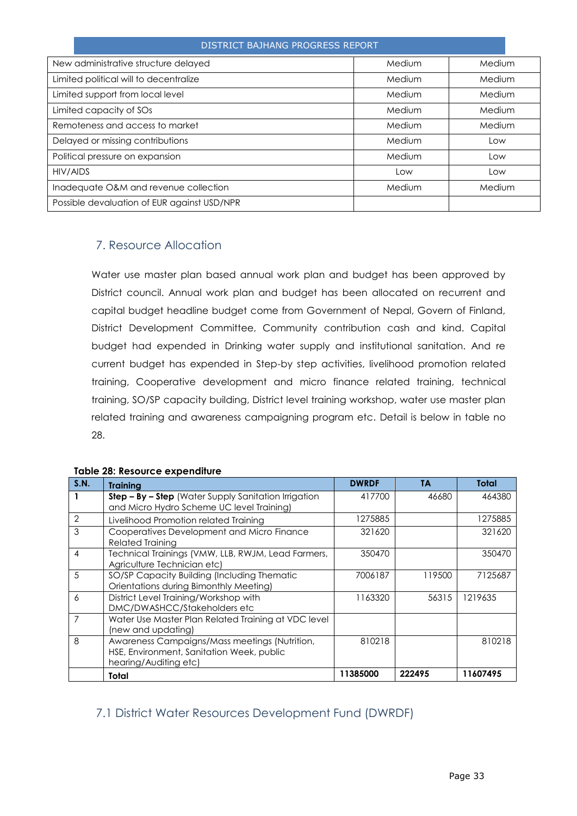| New administrative structure delayed        | Medium | Medium |
|---------------------------------------------|--------|--------|
| Limited political will to decentralize      | Medium | Medium |
| Limited support from local level            | Medium | Medium |
| Limited capacity of SOs                     | Medium | Medium |
| Remoteness and access to market             | Medium | Medium |
| Delayed or missing contributions            | Medium | Low    |
| Political pressure on expansion             | Medium | Low    |
| HIV/AIDS                                    | Low    | Low    |
| Inadequate O&M and revenue collection       | Medium | Medium |
| Possible devaluation of EUR against USD/NPR |        |        |

## <span id="page-32-0"></span>7. Resource Allocation

Water use master plan based annual work plan and budget has been approved by District council. Annual work plan and budget has been allocated on recurrent and capital budget headline budget come from Government of Nepal, Govern of Finland, District Development Committee, Community contribution cash and kind. Capital budget had expended in Drinking water supply and institutional sanitation. And re current budget has expended in Step-by step activities, livelihood promotion related training, Cooperative development and micro finance related training, technical training, SO/SP capacity building, District level training workshop, water use master plan related training and awareness campaigning program etc. Detail is below in table no 28.

| <b>S.N.</b>    | <b>Training</b>                                                                                                     | <b>DWRDF</b> | <b>TA</b> | Total    |
|----------------|---------------------------------------------------------------------------------------------------------------------|--------------|-----------|----------|
|                | Step - By - Step (Water Supply Sanitation Irrigation<br>and Micro Hydro Scheme UC level Training)                   | 417700       | 46680     | 464380   |
| $\overline{2}$ | Livelihood Promotion related Training                                                                               | 1275885      |           | 1275885  |
| 3              | Cooperatives Development and Micro Finance<br><b>Related Training</b>                                               | 321620       |           | 321620   |
| 4              | Technical Trainings (VMW, LLB, RWJM, Lead Farmers,<br>Agriculture Technician etc)                                   | 350470       |           | 350470   |
| 5              | SO/SP Capacity Building (Including Thematic<br>Orientations during Bimonthly Meeting)                               | 7006187      | 119500    | 7125687  |
| 6              | District Level Training/Workshop with<br>DMC/DWASHCC/Stakeholders etc                                               | 1163320      | 56315     | 1219635  |
| 7              | Water Use Master Plan Related Training at VDC level<br>(new and updating)                                           |              |           |          |
| 8              | Awareness Campaigns/Mass meetings (Nutrition,<br>HSE, Environment, Sanitation Week, public<br>hearing/Auditing etc) | 810218       |           | 810218   |
|                | Total                                                                                                               | 11385000     | 222495    | 11607495 |

#### **Table 28: Resource expenditure**

## <span id="page-32-1"></span>7.1 District Water Resources Development Fund (DWRDF)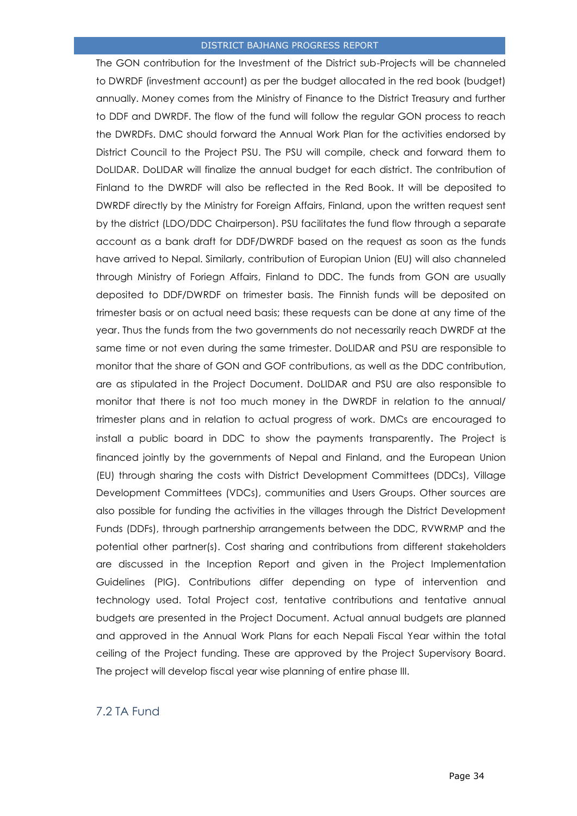The GON contribution for the Investment of the District sub-Projects will be channeled to DWRDF (investment account) as per the budget allocated in the red book (budget) annually. Money comes from the Ministry of Finance to the District Treasury and further to DDF and DWRDF. The flow of the fund will follow the regular GON process to reach the DWRDFs. DMC should forward the Annual Work Plan for the activities endorsed by District Council to the Project PSU. The PSU will compile, check and forward them to DoLIDAR. DoLIDAR will finalize the annual budget for each district. The contribution of Finland to the DWRDF will also be reflected in the Red Book. It will be deposited to DWRDF directly by the Ministry for Foreign Affairs, Finland, upon the written request sent by the district (LDO/DDC Chairperson). PSU facilitates the fund flow through a separate account as a bank draft for DDF/DWRDF based on the request as soon as the funds have arrived to Nepal. Similarly, contribution of Europian Union (EU) will also channeled through Ministry of Foriegn Affairs, Finland to DDC. The funds from GON are usually deposited to DDF/DWRDF on trimester basis. The Finnish funds will be deposited on trimester basis or on actual need basis; these requests can be done at any time of the year. Thus the funds from the two governments do not necessarily reach DWRDF at the same time or not even during the same trimester. DoLIDAR and PSU are responsible to monitor that the share of GON and GOF contributions, as well as the DDC contribution, are as stipulated in the Project Document. DoLIDAR and PSU are also responsible to monitor that there is not too much money in the DWRDF in relation to the annual/ trimester plans and in relation to actual progress of work. DMCs are encouraged to install a public board in DDC to show the payments transparently. The Project is financed jointly by the governments of Nepal and Finland, and the European Union (EU) through sharing the costs with District Development Committees (DDCs), Village Development Committees (VDCs), communities and Users Groups. Other sources are also possible for funding the activities in the villages through the District Development Funds (DDFs), through partnership arrangements between the DDC, RVWRMP and the potential other partner(s). Cost sharing and contributions from different stakeholders are discussed in the Inception Report and given in the Project Implementation Guidelines (PIG). Contributions differ depending on type of intervention and technology used. Total Project cost, tentative contributions and tentative annual budgets are presented in the Project Document. Actual annual budgets are planned and approved in the Annual Work Plans for each Nepali Fiscal Year within the total ceiling of the Project funding. These are approved by the Project Supervisory Board. The project will develop fiscal year wise planning of entire phase III.

## <span id="page-33-0"></span>7.2 TA Fund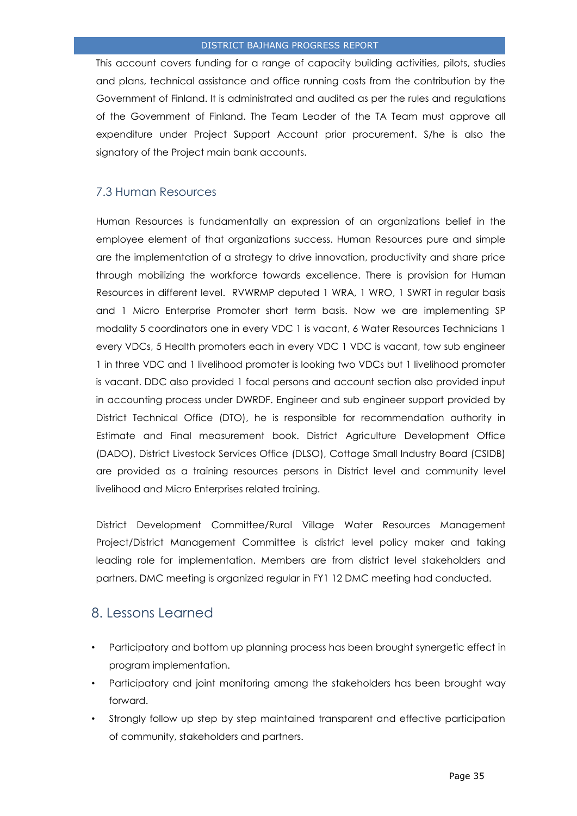This account covers funding for a range of capacity building activities, pilots, studies and plans, technical assistance and office running costs from the contribution by the Government of Finland. It is administrated and audited as per the rules and regulations of the Government of Finland. The Team Leader of the TA Team must approve all expenditure under Project Support Account prior procurement. S/he is also the signatory of the Project main bank accounts.

## <span id="page-34-0"></span>7.3 Human Resources

Human Resources is fundamentally an expression of an organizations belief in the employee element of that organizations success. Human Resources pure and simple are the implementation of a strategy to drive innovation, productivity and share price through mobilizing the workforce towards excellence. There is provision for Human Resources in different level. RVWRMP deputed 1 WRA, 1 WRO, 1 SWRT in regular basis and 1 Micro Enterprise Promoter short term basis. Now we are implementing SP modality 5 coordinators one in every VDC 1 is vacant, 6 Water Resources Technicians 1 every VDCs, 5 Health promoters each in every VDC 1 VDC is vacant, tow sub engineer 1 in three VDC and 1 livelihood promoter is looking two VDCs but 1 livelihood promoter is vacant. DDC also provided 1 focal persons and account section also provided input in accounting process under DWRDF. Engineer and sub engineer support provided by District Technical Office (DTO), he is responsible for recommendation authority in Estimate and Final measurement book. District Agriculture Development Office (DADO), District Livestock Services Office (DLSO), Cottage Small Industry Board (CSIDB) are provided as a training resources persons in District level and community level livelihood and Micro Enterprises related training.

District Development Committee/Rural Village Water Resources Management Project/District Management Committee is district level policy maker and taking leading role for implementation. Members are from district level stakeholders and partners. DMC meeting is organized regular in FY1 12 DMC meeting had conducted.

# <span id="page-34-1"></span>8. Lessons Learned

- Participatory and bottom up planning process has been brought synergetic effect in program implementation.
- Participatory and joint monitoring among the stakeholders has been brought way forward.
- Strongly follow up step by step maintained transparent and effective participation of community, stakeholders and partners.